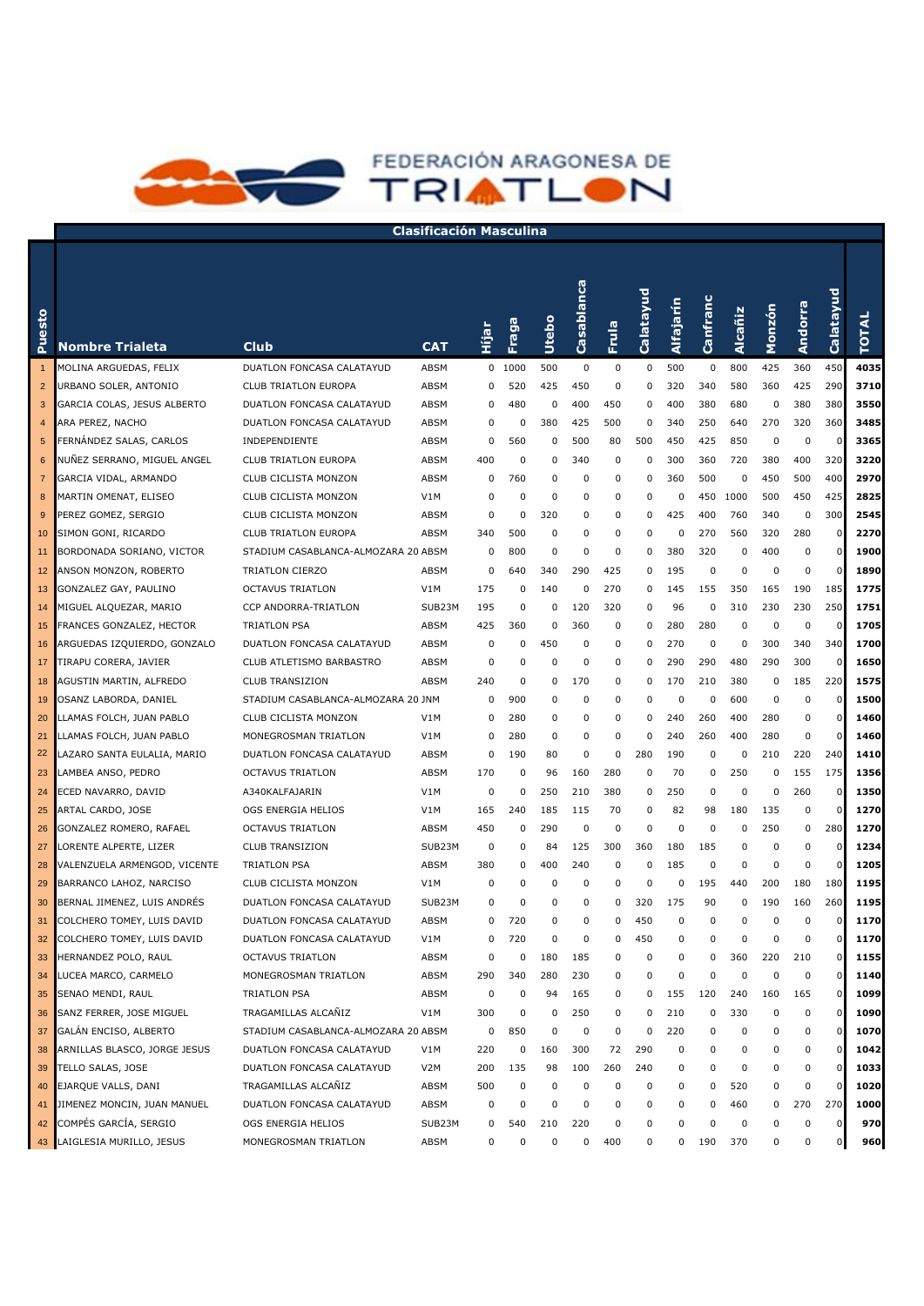

| esto<br>Ĕ      | <b>Nombre Trialeta</b>       | Club                                | <b>CAT</b>       | Hijar | Fraga    | Utebo    | Casablanca  | Frula       | Calatayud | Alfajarín | Canfranc | Alcañiz  | Monzón   | <b>Andorra</b> | Calatayud   | <b>TOTAL</b> |
|----------------|------------------------------|-------------------------------------|------------------|-------|----------|----------|-------------|-------------|-----------|-----------|----------|----------|----------|----------------|-------------|--------------|
|                | MOLINA ARGUEDAS, FELIX       | DUATLON FONCASA CALATAYUD           | ABSM             |       | 0 1000   | 500      | 0           | 0           | 0         | 500       | 0        | 800      | 425      | 360            | 450         | 4035         |
| $\overline{2}$ | URBANO SOLER, ANTONIO        | CLUB TRIATLON EUROPA                | ABSM             | 0     | 520      | 425      | 450         | 0           | 0         | 320       | 340      | 580      | 360      | 425            | 290         | 3710         |
| 3              | GARCIA COLAS, JESUS ALBERTO  | DUATLON FONCASA CALATAYUD           | ABSM             | 0     | 480      | 0        | 400         | 450         | 0         | 400       | 380      | 680      | 0        | 380            | 380         | 3550         |
| 4              | ARA PEREZ, NACHO             | DUATLON FONCASA CALATAYUD           | ABSM             | 0     | $\Omega$ | 380      | 425         | 500         | 0         | 340       | 250      | 640      | 270      | 320            | 360         | 3485         |
| 5              | FERNANDEZ SALAS, CARLOS      | INDEPENDIENTE                       | ABSM             | 0     | 560      | 0        | 500         | 80          | 500       | 450       | 425      | 850      | $\Omega$ | 0              | $\Omega$    | 3365         |
| 6              | NUÑEZ SERRANO, MIGUEL ANGEL  | <b>CLUB TRIATLON EUROPA</b>         | ABSM             | 400   | $\Omega$ | 0        | 340         | 0           | 0         | 300       | 360      | 720      | 380      | 400            | 320         | 3220         |
| 7              | GARCIA VIDAL, ARMANDO        | <b>CLUB CICLISTA MONZON</b>         | ABSM             | 0     | 760      | $\Omega$ | 0           | $\mathbf 0$ | 0         | 360       | 500      | 0        | 450      | 500            | 400         | 2970         |
| 8              | MARTIN OMENAT, ELISEO        | CLUB CICLISTA MONZON                | V1M              | 0     | $\Omega$ | $\Omega$ | 0           | $\mathbf 0$ | 0         | 0         | 450      | 1000     | 500      | 450            | 425         | 2825         |
| 9              | PEREZ GOMEZ, SERGIO          | CLUB CICLISTA MONZON                | ABSM             | 0     | $\Omega$ | 320      | 0           | $\mathbf 0$ | 0         | 425       | 400      | 760      | 340      | 0              | 300         | 2545         |
| 10             | SIMON GONI, RICARDO          | <b>CLUB TRIATLON EUROPA</b>         | ABSM             | 340   | 500      | $\Omega$ | 0           | 0           | 0         | 0         | 270      | 560      | 320      | 280            | 0           | 2270         |
| 11             | BORDONADA SORIANO, VICTOR    | STADIUM CASABLANCA-ALMOZARA 20 ABSM |                  | 0     | 800      | $\Omega$ | 0           | 0           | 0         | 380       | 320      | 0        | 400      | 0              | $\Omega$    | 1900         |
| 12             | ANSON MONZON, ROBERTO        | TRIATLON CIERZO                     | ABSM             | 0     | 640      | 340      | 290         | 425         | 0         | 195       | 0        | 0        | 0        | $\mathbf 0$    | 0           | 1890         |
| 13             | GONZALEZ GAY, PAULINO        | <b>OCTAVUS TRIATLON</b>             | V1M              | 175   | 0        | 140      | 0           | 270         | 0         | 145       | 155      | 350      | 165      | 190            | 185         | 1775         |
| 14             | MIGUEL ALQUEZAR, MARIO       | CCP ANDORRA-TRIATLON                | SUB23M           | 195   | 0        | 0        | 120         | 320         | 0         | 96        | 0        | 310      | 230      | 230            | 250         | 1751         |
| 15             | FRANCES GONZALEZ, HECTOR     | <b>TRIATLON PSA</b>                 | ABSM             | 425   | 360      | 0        | 360         | 0           | 0         | 280       | 280      | 0        | $\Omega$ | 0              | $\Omega$    | 1705         |
| 16             | ARGUEDAS IZQUIERDO, GONZALO  | DUATLON FONCASA CALATAYUD           | ABSM             | 0     | 0        | 450      | 0           | 0           | 0         | 270       | 0        | 0        | 300      | 340            | 340         | 1700         |
| 17             | TIRAPU CORERA, JAVIER        | CLUB ATLETISMO BARBASTRO            | ABSM             | 0     | 0        | 0        | 0           | 0           | 0         | 290       | 290      | 480      | 290      | 300            | 0           | 1650         |
| 18             | AGUSTIN MARTIN, ALFREDO      | <b>CLUB TRANSIZION</b>              | ABSM             | 240   | 0        | 0        | 170         | 0           | 0         | 170       | 210      | 380      | 0        | 185            | 220         | 1575         |
| 19             | OSANZ LABORDA, DANIEL        | STADIUM CASABLANCA-ALMOZARA 20 JNM  |                  | 0     | 900      | 0        | 0           | 0           | 0         | 0         | 0        | 600      | 0        | 0              | 0           | 1500         |
| 20             | LLAMAS FOLCH, JUAN PABLO     | CLUB CICLISTA MONZON                | V1M              | 0     | 280      | 0        | 0           | 0           | 0         | 240       | 260      | 400      | 280      | 0              | $\Omega$    | 1460         |
| 21             | LLAMAS FOLCH, JUAN PABLO     | MONEGROSMAN TRIATLON                | V1M              | 0     | 280      | 0        | 0           | 0           | 0         | 240       | 260      | 400      | 280      | 0              | $\Omega$    | 1460         |
| 22             | LAZARO SANTA EULALIA, MARIO  | DUATLON FONCASA CALATAYUD           | ABSM             | 0     | 190      | 80       | 0           | $\mathbf 0$ | 280       | 190       | 0        | 0        | 210      | 220            | 240         | 1410         |
| 23             | LAMBEA ANSO, PEDRO           | OCTAVUS TRIATLON                    | ABSM             | 170   | 0        | 96       | 160         | 280         | 0         | 70        | 0        | 250      | 0        | 155            | 175         | 1356         |
| 24             | ECED NAVARRO, DAVID          | A340KALFAJARIN                      | V1M              | 0     | 0        | 250      | 210         | 380         | 0         | 250       | 0        | 0        | 0        | 260            | 0           | 1350         |
| 25             | ARTAL CARDO, JOSE            | OGS ENERGIA HELIOS                  | V1M              | 165   | 240      | 185      | 115         | 70          | 0         | 82        | 98       | 180      | 135      | 0              | 0           | 1270         |
| 26             | GONZALEZ ROMERO, RAFAEL      | OCTAVUS TRIATLON                    | ABSM             | 450   | 0        | 290      | 0           | 0           | 0         | 0         | 0        | 0        | 250      | 0              | 280         | 1270         |
| 27             | LORENTE ALPERTE, LIZER       | <b>CLUB TRANSIZION</b>              | SUB23M           | 0     | 0        | 84       | 125         | 300         | 360       | 180       | 185      | 0        | 0        | $\pmb{0}$      | $\Omega$    | 1234         |
| 28             | VALENZUELA ARMENGOD, VICENTE | <b>TRIATLON PSA</b>                 | ABSM             | 380   | 0        | 400      | 240         | 0           | 0         | 185       | 0        | 0        | 0        | $\mathbf 0$    |             | 1205         |
| 29             | BARRANCO LAHOZ, NARCISO      | <b>CLUB CICLISTA MONZON</b>         | V1M              | 0     | 0        | $\Omega$ | 0           | 0           | 0         | 0         | 195      | 440      | 200      | 180            | 180         | 1195         |
| 30             | BERNAL JIMENEZ, LUIS ANDRÉS  | DUATLON FONCASA CALATAYUD           | SUB23M           | 0     | 0        | 0        | 0           | 0           | 320       | 175       | 90       | 0        | 190      | 160            | 260         | 1195         |
| 31             | COLCHERO TOMEY, LUIS DAVID   | DUATLON FONCASA CALATAYUD           | ABSM             | 0     | 720      | 0        | $\mathbf 0$ | $\Omega$    | 450       | 0         | 0        | 0        | 0        | 0              | n           | 1170         |
| 32             | COLCHERO TOMEY, LUIS DAVID   | DUATLON FONCASA CALATAYUD           | V1M              | 0     | 720      | 0        | $\mathbf 0$ | $\Omega$    | 450       | 0         | 0        | $\Omega$ | 0        | 0              |             | 1170         |
| 33             | HERNANDEZ POLO, RAUL         | <b>OCTAVUS TRIATLON</b>             | ABSM             | 0     | 0        | 180      | 185         | 0           | 0         | 0         | 0        | 360      | 220      | 210            | $\mathbf 0$ | 1155         |
| 34             | LUCEA MARCO, CARMELO         | MONEGROSMAN TRIATLON                | ABSM             | 290   | 340      | 280      | 230         | 0           | 0         | 0         | 0        | 0        | 0        | 0              | 0           | 1140         |
| 35             | SENAO MENDI, RAUL            | <b>TRIATLON PSA</b>                 | ABSM             | 0     | 0        | 94       | 165         | 0           | 0         | 155       | 120      | 240      | 160      | 165            |             | 1099         |
| 36             | SANZ FERRER, JOSE MIGUEL     | TRAGAMILLAS ALCAÑIZ                 | V1M              | 300   | 0        | 0        | 250         | 0           | 0         | 210       | 0        | 330      | 0        | 0              |             | 1090         |
| 37             | GALÁN ENCISO, ALBERTO        | STADIUM CASABLANCA-ALMOZARA 20 ABSM |                  | 0     | 850      | $\Omega$ | 0           | 0           | 0         | 220       | 0        | 0        | 0        | $\pmb{0}$      |             | 1070         |
| 38             | ARNILLAS BLASCO, JORGE JESUS | DUATLON FONCASA CALATAYUD           | V1M              | 220   | 0        | 160      | 300         | 72          | 290       | 0         | 0        | 0        | 0        | 0              | $\Omega$    | 1042         |
| 39             | TELLO SALAS, JOSE            | DUATLON FONCASA CALATAYUD           | V <sub>2</sub> M | 200   | 135      | 98       | 100         | 260         | 240       | 0         | 0        | 0        | 0        | $\pmb{0}$      | $\Omega$    | 1033         |
| 40             | EJARQUE VALLS, DANI          | TRAGAMILLAS ALCAÑIZ                 | ABSM             | 500   | 0        | 0        | 0           | 0           | 0         | 0         | 0        | 520      | 0        | 0              | $\sqrt{ }$  | 1020         |
| 41             | JIMENEZ MONCIN, JUAN MANUEL  | DUATLON FONCASA CALATAYUD           | ABSM             | 0     | 0        | $\Omega$ | 0           | 0           | 0         | 0         | 0        | 460      | 0        | 270            | 270         | 1000         |
| 42             | COMPÉS GARCÍA, SERGIO        | OGS ENERGIA HELIOS                  | SUB23M           | 0     | 540      | 210      | 220         | $\mathbf 0$ | 0         | 0         | 0        | 0        | 0        | 0              | $\mathbf 0$ | 970          |
| 43             | LAIGLESIA MURILLO, JESUS     | MONEGROSMAN TRIATLON                | ABSM             | 0     | 0        | 0        | 0           | 400         | 0         | 0         | 190      | 370      | 0        | 0              | $\Omega$    | 960          |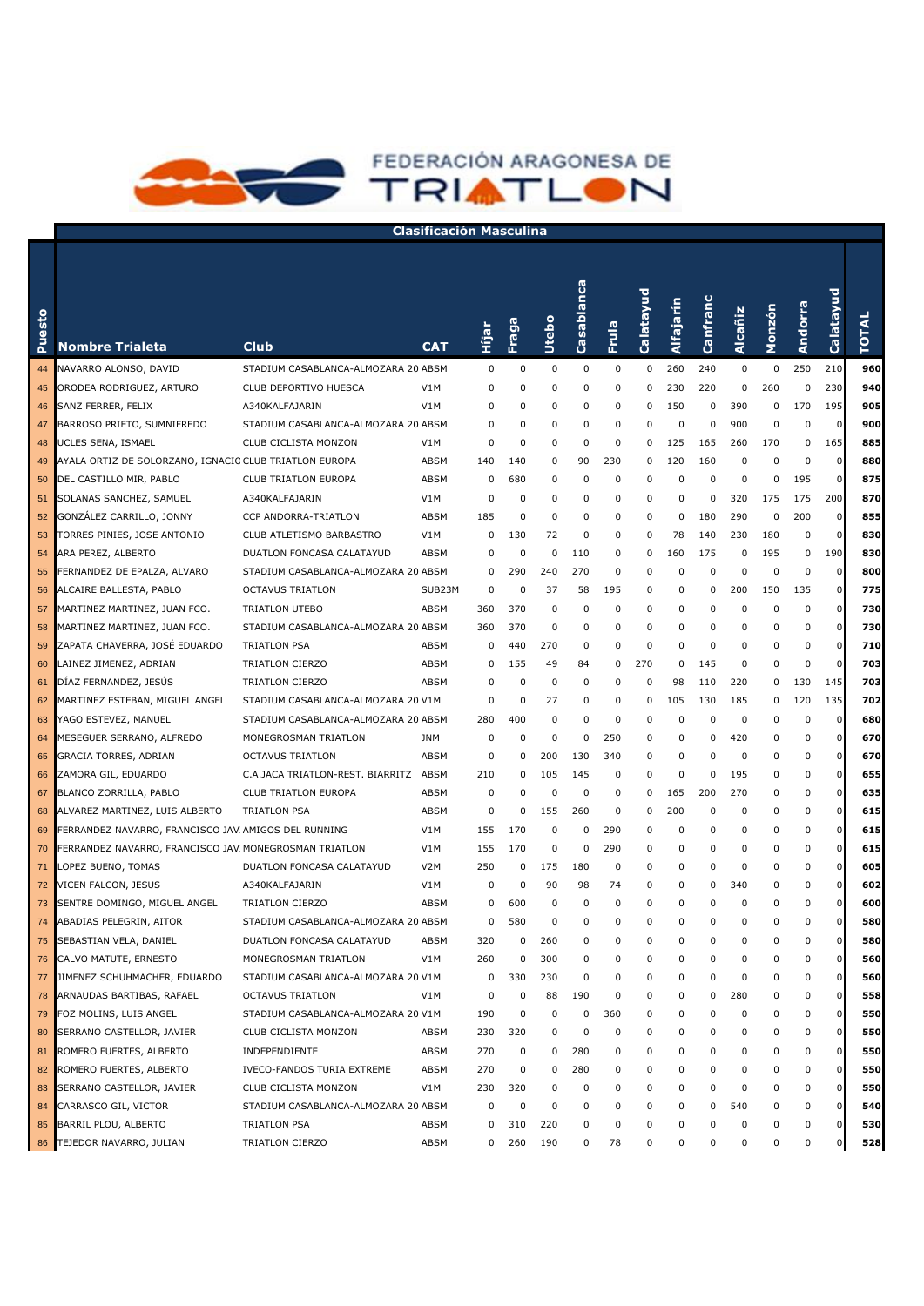

| Puesto | <b>Nombre Trialeta</b>                                 | Club                                  | CAT              | Hijar | Fraga    | Utebo    | Casablanca | Frula    | Calatayud | Alfajarín   | Canfranc | Alcañiz | Monzón   | Andorra  | Calatayud      | <b>TOTAL</b> |
|--------|--------------------------------------------------------|---------------------------------------|------------------|-------|----------|----------|------------|----------|-----------|-------------|----------|---------|----------|----------|----------------|--------------|
| 44     | NAVARRO ALONSO, DAVID                                  | STADIUM CASABLANCA-ALMOZARA 20 ABSM   |                  | 0     | 0        | 0        | 0          | 0        | 0         | 260         | 240      | 0       | 0        | 250      | 210            | 960          |
| 45     | ORODEA RODRIGUEZ, ARTURO                               | CLUB DEPORTIVO HUESCA                 | V1M              | 0     | 0        | 0        | 0          | 0        | 0         | 230         | 220      | 0       | 260      | 0        | 230            | 940          |
| 46     | SANZ FERRER, FELIX                                     | A340KALFAJARIN                        | V1M              | 0     | 0        | 0        | 0          | 0        | 0         | 150         | 0        | 390     | 0        | 170      | 195            | 905          |
| 47     | BARROSO PRIETO, SUMNIFREDO                             | STADIUM CASABLANCA-ALMOZARA 20 ABSM   |                  | 0     | $\Omega$ | 0        | 0          | 0        | 0         | $\mathbf 0$ | 0        | 900     | 0        | $\Omega$ | $\mathbf 0$    | 900          |
| 48     | UCLES SENA, ISMAEL                                     | CLUB CICLISTA MONZON                  | V1M              | 0     | 0        | 0        | 0          | 0        | 0         | 125         | 165      | 260     | 170      | 0        | 165            | 885          |
| 49     | AYALA ORTIZ DE SOLORZANO, IGNACIC CLUB TRIATLON EUROPA |                                       | ABSM             | 140   | 140      | 0        | 90         | 230      | 0         | 120         | 160      | 0       | 0        | $\Omega$ | 0              | 880          |
| 50     | DEL CASTILLO MIR, PABLO                                | CLUB TRIATLON EUROPA                  | ABSM             | 0     | 680      | 0        | 0          | 0        | 0         | 0           | 0        | 0       | 0        | 195      | $\mathbf 0$    | 875          |
| 51     | SOLANAS SANCHEZ, SAMUEL                                | A340KALFAJARIN                        | V1M              | 0     | $\Omega$ | 0        | 0          | 0        | 0         | 0           | 0        | 320     | 175      | 175      | 200            | 870          |
| 52     | GONZALEZ CARRILLO, JONNY                               | CCP ANDORRA-TRIATLON                  | ABSM             | 185   | $\Omega$ | $\Omega$ | 0          | 0        | 0         | 0           | 180      | 290     | 0        | 200      | $\mathbf 0$    | 855          |
| 53     | TORRES PINIES, JOSE ANTONIO                            | CLUB ATLETISMO BARBASTRO              | V1M              | 0     | 130      | 72       | 0          | 0        | 0         | 78          | 140      | 230     | 180      | $\Omega$ | $\mathbf 0$    | 830          |
| 54     | ARA PEREZ, ALBERTO                                     | DUATLON FONCASA CALATAYUD             | ABSM             | 0     | $\Omega$ | $\Omega$ | 110        | 0        | 0         | 160         | 175      | 0       | 195      | 0        | 190            | 830          |
| 55     | FERNANDEZ DE EPALZA, ALVARO                            | STADIUM CASABLANCA-ALMOZARA 20 ABSM   |                  | 0     | 290      | 240      | 270        | 0        | 0         | 0           | 0        | 0       | 0        | $\Omega$ | $\mathbf 0$    | 800          |
| 56     | ALCAIRE BALLESTA, PABLO                                | <b>OCTAVUS TRIATLON</b>               | SUB23M           | 0     | 0        | 37       | 58         | 195      | 0         | 0           | 0        | 200     | 150      | 135      | $\mathbf 0$    | 775          |
| 57     | MARTINEZ MARTINEZ, JUAN FCO.                           | TRIATLON UTEBO                        | ABSM             | 360   | 370      | $\Omega$ | 0          | 0        | 0         | 0           | 0        | 0       | 0        | 0        | $\mathbf 0$    | 730          |
| 58     | MARTINEZ MARTINEZ, JUAN FCO.                           | STADIUM CASABLANCA-ALMOZARA 20 ABSM   |                  | 360   | 370      | 0        | 0          | 0        | 0         | 0           | 0        | 0       | 0        | 0        | $\mathbf{0}$   | 730          |
| 59     | ZAPATA CHAVERRA, JOSÉ EDUARDO                          | <b>TRIATLON PSA</b>                   | ABSM             | 0     | 440      | 270      | 0          | 0        | 0         | 0           | 0        | 0       | 0        | 0        | $\mathbf 0$    | 710          |
| 60     | LAINEZ JIMENEZ, ADRIAN                                 | TRIATLON CIERZO                       | ABSM             | 0     | 155      | 49       | 84         | 0        | 270       | 0           | 145      | 0       | 0        | 0        | $\mathbf 0$    | 703          |
| 61     | DÍAZ FERNANDEZ, JESÚS                                  | TRIATLON CIERZO                       | ABSM             | 0     | 0        | 0        | 0          | 0        | 0         | 98          | 110      | 220     | 0        | 130      | 145            | 703          |
| 62     | MARTINEZ ESTEBAN, MIGUEL ANGEL                         | STADIUM CASABLANCA-ALMOZARA 20 V1M    |                  | 0     | $\Omega$ | 27       | 0          | 0        | 0         | 105         | 130      | 185     | 0        | 120      | 135            | 702          |
| 63     | YAGO ESTEVEZ, MANUEL                                   | STADIUM CASABLANCA-ALMOZARA 20 ABSM   |                  | 280   | 400      | $\Omega$ | 0          | 0        | 0         | 0           | 0        | 0       | $\Omega$ | $\Omega$ | $\mathbf 0$    | 680          |
| 64     | MESEGUER SERRANO, ALFREDO                              | MONEGROSMAN TRIATLON                  | <b>JNM</b>       | 0     | $\Omega$ | $\Omega$ | 0          | 250      | 0         | 0           | 0        | 420     | 0        | 0        | $\mathbf 0$    | 670          |
| 65     | GRACIA TORRES, ADRIAN                                  | OCTAVUS TRIATLON                      | ABSM             | 0     | 0        | 200      | 130        | 340      | 0         | 0           | 0        | 0       | $\Omega$ | 0        | $\mathbf 0$    | 670          |
| 66     | ZAMORA GIL, EDUARDO                                    | C.A.JACA TRIATLON-REST. BIARRITZ ABSM |                  | 210   | 0        | 105      | 145        | 0        | 0         | 0           | 0        | 195     | 0        | 0        | $\mathbf 0$    | 655          |
| 67     | BLANCO ZORRILLA, PABLO                                 | <b>CLUB TRIATLON EUROPA</b>           | ABSM             | 0     | $\Omega$ | 0        | 0          | 0        | 0         | 165         | 200      | 270     | 0        | 0        | $\mathbf 0$    | 635          |
| 68     | ALVAREZ MARTINEZ, LUIS ALBERTO                         | <b>TRIATLON PSA</b>                   | ABSM             | 0     | 0        | 155      | 260        | 0        | 0         | 200         | 0        | 0       | 0        | 0        | $\mathbf 0$    | 615          |
| 69     | FERRANDEZ NAVARRO, FRANCISCO JAV AMIGOS DEL RUNNING    |                                       | V1M              | 155   | 170      | $\Omega$ | 0          | 290      | 0         | 0           | 0        | 0       | 0        | 0        | $\mathbf 0$    | 615          |
| 70     | FERRANDEZ NAVARRO, FRANCISCO JAV MONEGROSMAN TRIATLON  |                                       | V1M              | 155   | 170      | 0        | 0          | 290      | 0         | 0           | 0        | 0       | 0        | 0        | $\mathbf 0$    | 615          |
| 71     | LOPEZ BUENO, TOMAS                                     | DUATLON FONCASA CALATAYUD             | V <sub>2</sub> M | 250   | 0        | 175      | 180        | 0        | 0         | 0           | 0        | 0       | 0        | 0        | $\mathbf 0$    | 605          |
| 72     | VICEN FALCON, JESUS                                    | A340KALFAJARIN                        | V1M              | 0     | 0        | 90       | 98         | 74       | 0         | 0           | 0        | 340     | 0        | 0        | $\mathbf 0$    | 602          |
| 73     | SENTRE DOMINGO, MIGUEL ANGEL                           | TRIATLON CIERZO                       | ABSM             | 0     | 600      | 0        | 0          | 0        | 0         | 0           | 0        | 0       | 0        | 0        | $\mathbf 0$    | 600          |
| 74     | ABADIAS PELEGRIN, AITOR                                | STADIUM CASABLANCA-ALMOZARA 20 ABSM   |                  | 0     | 580      | 0        | 0          | 0        | 0         | 0           | 0        | 0       | 0        | 0        | $\mathbf 0$    | 580          |
| 75     | SEBASTIAN VELA, DANIEL                                 | DUATLON FONCASA CALATAYUD             | ABSM             | 320   | 0        | 260      | 0          | $\Omega$ | $\Omega$  | 0           | 0        | 0       | 0        | 0        | n              | 580          |
| 76     | CALVO MATUTE, ERNESTO                                  | MONEGROSMAN TRIATLON                  | V1M              | 260   | 0        | 300      | 0          | 0        | 0         | 0           | 0        | 0       | 0        | 0        | $\overline{0}$ | 560          |
| 77     | JIMENEZ SCHUHMACHER, EDUARDO                           | STADIUM CASABLANCA-ALMOZARA 20 V1M    |                  | 0     | 330      | 230      | 0          | 0        | 0         | 0           | 0        | 0       | 0        | 0        | 0              | 560          |
| 78     | ARNAUDAS BARTIBAS, RAFAEL                              | <b>OCTAVUS TRIATLON</b>               | V1M              | 0     | 0        | 88       | 190        | 0        | 0         | 0           | 0        | 280     | 0        | 0        | 0              | 558          |
| 79     | FOZ MOLINS, LUIS ANGEL                                 | STADIUM CASABLANCA-ALMOZARA 20 V1M    |                  | 190   | 0        | 0        | 0          | 360      | 0         | 0           | 0        | 0       | 0        | 0        | 0              | 550          |
| 80     | SERRANO CASTELLOR, JAVIER                              | CLUB CICLISTA MONZON                  | ABSM             | 230   | 320      | 0        | 0          | 0        | 0         | 0           | 0        | 0       | 0        | 0        | 0              | 550          |
| 81     | ROMERO FUERTES, ALBERTO                                | INDEPENDIENTE                         | ABSM             | 270   | 0        | 0        | 280        | 0        | 0         | 0           | 0        | 0       | 0        | 0        | 0              | 550          |
| 82     | ROMERO FUERTES, ALBERTO                                | IVECO-FANDOS TURIA EXTREME            | ABSM             | 270   | 0        | 0        | 280        | 0        | 0         | 0           | 0        | 0       | 0        | 0        | 0              | 550          |
| 83     | SERRANO CASTELLOR, JAVIER                              | CLUB CICLISTA MONZON                  | V1M              | 230   | 320      | 0        | 0          | 0        | 0         | 0           | 0        | 0       | 0        | 0        | 0              | 550          |
| 84     | CARRASCO GIL, VICTOR                                   | STADIUM CASABLANCA-ALMOZARA 20 ABSM   |                  | 0     | 0        | 0        | 0          | 0        | 0         | 0           | 0        | 540     | 0        | 0        | 0              | 540          |
| 85     | BARRIL PLOU, ALBERTO                                   | TRIATLON PSA                          | ABSM             | 0     | 310      | 220      | 0          | 0        | 0         | 0           | 0        | 0       | 0        | 0        | 0              | 530          |
|        | 86 TEJEDOR NAVARRO, JULIAN                             | TRIATLON CIERZO                       | ABSM             | 0     | 260      | 190      | 0          | 78       | 0         | 0           | 0        | 0       | 0        | 0        | 0              | 528          |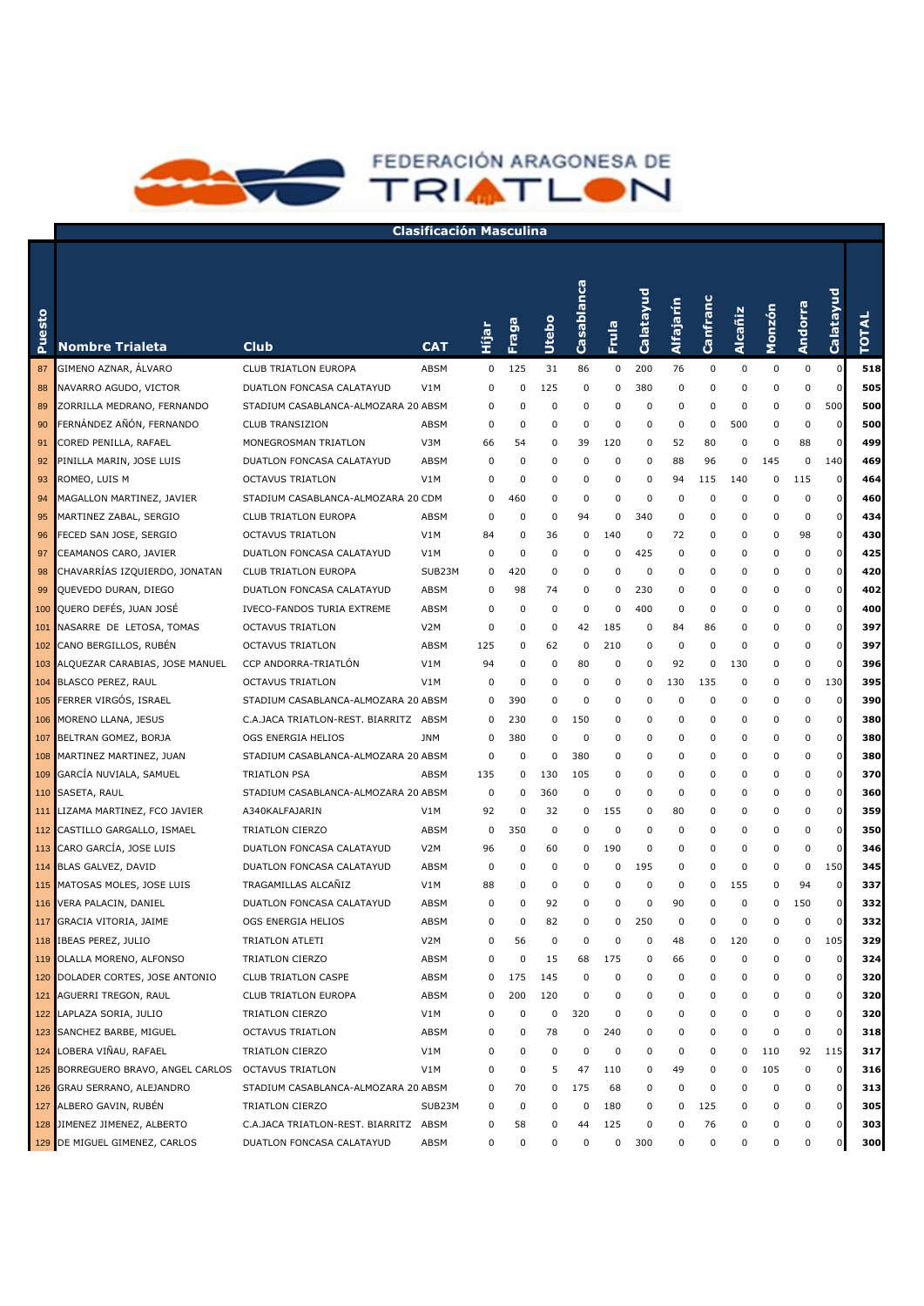

| Puesto           | <b>Nombre Trialeta</b>             | Club                                  | CAT              | Нijаr       | Fraga    | Utebo       | Casablanca  | Frula       | Calatayud   | Alfajarín | Canfranc | Alcañiz     | Monzón      | Andorra  | Calatayud   | <b>TOTAL</b> |
|------------------|------------------------------------|---------------------------------------|------------------|-------------|----------|-------------|-------------|-------------|-------------|-----------|----------|-------------|-------------|----------|-------------|--------------|
| 87               | GIMENO AZNAR, ÁLVARO               | CLUB TRIATLON EUROPA                  | ABSM             | 0           | 125      | 31          | 86          | 0           | 200         | 76        | 0        | $\mathbf 0$ | 0           | 0        | $\mathbf 0$ | 518          |
| 88               | NAVARRO AGUDO, VICTOR              | DUATLON FONCASA CALATAYUD             | V1M              | 0           | 0        | 125         | 0           | 0           | 380         | 0         | 0        | 0           | 0           | 0        | $\Omega$    | 505          |
| 89               | ZORRILLA MEDRANO, FERNANDO         | STADIUM CASABLANCA-ALMOZARA 20 ABSM   |                  | 0           | $\Omega$ | $\mathbf 0$ | 0           | 0           | 0           | 0         | 0        | 0           | 0           | 0        | 500         | 500          |
| 90               | FERNÁNDEZ AÑÓN, FERNANDO           | <b>CLUB TRANSIZION</b>                | ABSM             | 0           | $\Omega$ | 0           | 0           | 0           | 0           | 0         | 0        | 500         | $\mathbf 0$ | $\Omega$ | $\mathbf 0$ | 500          |
| 91               | CORED PENILLA, RAFAEL              | MONEGROSMAN TRIATLON                  | V3M              | 66          | 54       | 0           | 39          | 120         | 0           | 52        | 80       | 0           | 0           | 88       | $\mathbf 0$ | 499          |
| 92               | PINILLA MARIN, JOSE LUIS           | DUATLON FONCASA CALATAYUD             | ABSM             | 0           | 0        | 0           | 0           | 0           | 0           | 88        | 96       | 0           | 145         | 0        | 140         | 469          |
| 93               | ROMEO, LUIS M                      | <b>OCTAVUS TRIATLON</b>               | V1M              | 0           | 0        | 0           | 0           | 0           | 0           | 94        | 115      | 140         | 0           | 115      | $\mathbf 0$ | 464          |
| 94               | MAGALLON MARTINEZ, JAVIER          | STADIUM CASABLANCA-ALMOZARA 20 CDM    |                  | 0           | 460      | 0           | 0           | 0           | 0           | 0         | 0        | 0           | $\mathbf 0$ | 0        | $\mathbf 0$ | 460          |
| 95               | MARTINEZ ZABAL, SERGIO             | CLUB TRIATLON EUROPA                  | ABSM             | 0           | 0        | 0           | 94          | 0           | 340         | 0         | 0        | 0           | $\mathbf 0$ | 0        | $\mathbf 0$ | 434          |
| 96               | FECED SAN JOSE, SERGIO             | <b>OCTAVUS TRIATLON</b>               | V1M              | 84          | 0        | 36          | 0           | 140         | 0           | 72        | 0        | 0           | 0           | 98       | $\mathbf 0$ | 430          |
| 97               | CEAMANOS CARO, JAVIER              | DUATLON FONCASA CALATAYUD             | V1M              | 0           | 0        | 0           | 0           | 0           | 425         | 0         | 0        | 0           | $\mathbf 0$ | 0        | $\mathbf 0$ | 425          |
| 98               | CHAVARRÍAS IZQUIERDO, JONATAN      | <b>CLUB TRIATLON EUROPA</b>           | SUB23M           | 0           | 420      | 0           | $\mathbf 0$ | 0           | $\mathbf 0$ | 0         | 0        | 0           | $\Omega$    | 0        | $\mathbf 0$ | 420          |
| 99               | QUEVEDO DURAN, DIEGO               | DUATLON FONCASA CALATAYUD             | ABSM             | 0           | 98       | 74          | 0           | 0           | 230         | 0         | 0        | 0           | $\Omega$    | 0        | $\mathbf 0$ | 402          |
| 100              | QUERO DEFÉS, JUAN JOSÉ             | <b>IVECO-FANDOS TURIA EXTREME</b>     | ABSM             | 0           | 0        | $\mathbf 0$ | 0           | 0           | 400         | 0         | 0        | 0           | $\Omega$    | 0        | $\mathbf 0$ | 400          |
| 101              | NASARRE DE LETOSA, TOMAS           | <b>OCTAVUS TRIATLON</b>               | V <sub>2</sub> M | $\Omega$    | 0        | 0           | 42          | 185         | 0           | 84        | 86       | 0           | 0           | 0        | $\mathbf 0$ | 397          |
| 102 <sub>2</sub> | CANO BERGILLOS, RUBÉN              | <b>OCTAVUS TRIATLON</b>               | ABSM             | 125         | 0        | 62          | 0           | 210         | 0           | 0         | 0        | 0           | 0           | 0        | $\mathbf 0$ | 397          |
|                  | 103 ALQUEZAR CARABIAS, JOSE MANUEL | CCP ANDORRA-TRIATLÓN                  | V1M              | 94          | 0        | $\mathbf 0$ | 80          | 0           | 0           | 92        | 0        | 130         | 0           | 0        | $\mathbf 0$ | 396          |
|                  | 104 BLASCO PEREZ, RAUL             | <b>OCTAVUS TRIATLON</b>               | V1M              | 0           | 0        | 0           | 0           | 0           | 0           | 130       | 135      | 0           | $\mathbf 0$ | 0        | 130         | 395          |
|                  | 105 FERRER VIRGÓS, ISRAEL          | STADIUM CASABLANCA-ALMOZARA 20 ABSM   |                  | 0           | 390      | $\mathbf 0$ | $\mathbf 0$ | 0           | 0           | 0         | 0        | 0           | $\mathbf 0$ | 0        | $\mathbf 0$ | 390          |
|                  | 106 MORENO LLANA, JESUS            | C.A.JACA TRIATLON-REST. BIARRITZ ABSM |                  | 0           | 230      | 0           | 150         | 0           | 0           | 0         | 0        | 0           | 0           | 0        | $\mathbf 0$ | 380          |
|                  | 107 BELTRAN GOMEZ, BORJA           | OGS ENERGIA HELIOS                    | <b>JNM</b>       | 0           | 380      | $\mathbf 0$ | $\mathbf 0$ | 0           | 0           | 0         | 0        | 0           | 0           | 0        | $\mathbf 0$ | 380          |
|                  | 108 MARTINEZ MARTINEZ, JUAN        | STADIUM CASABLANCA-ALMOZARA 20 ABSM   |                  | 0           | 0        | $\mathbf 0$ | 380         | 0           | 0           | 0         | 0        | 0           | $\mathbf 0$ | 0        | $\mathbf 0$ | 380          |
|                  | 109 GARCÍA NUVIALA, SAMUEL         | <b>TRIATLON PSA</b>                   | ABSM             | 135         | 0        | 130         | 105         | $\mathbf 0$ | 0           | 0         | 0        | 0           | $\mathbf 0$ | 0        | $\mathbf 0$ | 370          |
|                  | 110 SASETA, RAUL                   | STADIUM CASABLANCA-ALMOZARA 20 ABSM   |                  | 0           | 0        | 360         | $\mathbf 0$ | $\mathbf 0$ | 0           | 0         | 0        | 0           | $\mathbf 0$ | 0        | $\mathbf 0$ | 360          |
|                  | 111 LIZAMA MARTINEZ, FCO JAVIER    | A340KALFAJARIN                        | V1M              | 92          | 0        | 32          | 0           | 155         | 0           | 80        | 0        | 0           | $\Omega$    | 0        | $\mathbf 0$ | 359          |
|                  | 112 CASTILLO GARGALLO, ISMAEL      | TRIATLON CIERZO                       | ABSM             | $\mathbf 0$ | 350      | $\mathbf 0$ | $\mathbf 0$ | $\mathbf 0$ | 0           | 0         | 0        | 0           | $\Omega$    | 0        | $\mathbf 0$ | 350          |
|                  | 113 CARO GARCÍA, JOSE LUIS         | DUATLON FONCASA CALATAYUD             | V <sub>2</sub> M | 96          | 0        | 60          | 0           | 190         | 0           | 0         | 0        | 0           | $\Omega$    | $\Omega$ | $\mathbf 0$ | 346          |
|                  | 114 BLAS GALVEZ, DAVID             | DUATLON FONCASA CALATAYUD             | ABSM             | 0           | 0        | 0           | 0           | 0           | 195         | 0         | 0        | 0           | $\mathbf 0$ | 0        | 150         | 345          |
|                  | 115 MATOSAS MOLES, JOSE LUIS       | TRAGAMILLAS ALCANIZ                   | V1M              | 88          | 0        | 0           | 0           | 0           | 0           | 0         | 0        | 155         | $\mathbf 0$ | 94       | $\mathbf 0$ | 337          |
|                  | 116 VERA PALACIN, DANIEL           | DUATLON FONCASA CALATAYUD             | ABSM             | 0           | 0        | 92          | 0           | 0           | 0           | 90        | 0        | 0           | 0           | 150      | $\mathbf 0$ | 332          |
|                  | 117 GRACIA VITORIA, JAIME          | OGS ENERGIA HELIOS                    | ABSM             | 0           | 0        | 82          | 0           | 0           | 250         | 0         | 0        | 0           | $\mathbf 0$ | $\Omega$ | $\mathbf 0$ | 332          |
|                  | 118 IBEAS PEREZ, JULIO             | TRIATLON ATLETI                       | V <sub>2</sub> M | 0           | 56       | $\mathbf 0$ | 0           | 0           | 0           | 48        | 0        | 120         | $\Omega$    | 0        | 105         | 329          |
|                  | 119 OLALLA MORENO, ALFONSO         | TRIATLON CIERZO                       | ABSM             | 0           | 0        | 15          | 68          | 175         | 0           | 66        | 0        | 0           | 0           | 0        | $\mathbf 0$ | 324          |
|                  | 120 DOLADER CORTES, JOSE ANTONIO   | <b>CLUB TRIATLON CASPE</b>            | ABSM             | 0           | 175      | 145         | 0           | 0           | 0           | 0         | 0        | 0           | $\Omega$    | 0        | $\mathbf 0$ | 320          |
|                  | 121 AGUERRI TREGON, RAUL           | CLUB TRIATLON EUROPA                  | ABSM             | 0           | 200      | 120         | 0           | 0           | 0           | 0         | 0        | 0           | 0           | 0        | 0           | 320          |
|                  | 122 LAPLAZA SORIA, JULIO           | TRIATLON CIERZO                       | V1M              | 0           | 0        | 0           | 320         | 0           | 0           | 0         | 0        | 0           | 0           | 0        | 0           | 320          |
|                  | 123 SANCHEZ BARBE, MIGUEL          | <b>OCTAVUS TRIATLON</b>               | ABSM             | 0           | 0        | 78          | 0           | 240         | 0           | 0         | 0        | 0           | 0           | 0        | 0           | 318          |
|                  | 124 LOBERA VIÑAU, RAFAEL           | TRIATLON CIERZO                       | V1M              | 0           | 0        | 0           | 0           | 0           | 0           | 0         | 0        | 0           | 110         | 92       | 115         | 317          |
|                  | 125 BORREGUERO BRAVO, ANGEL CARLOS | <b>OCTAVUS TRIATLON</b>               | V1M              | 0           | 0        | 5           | 47          | 110         | 0           | 49        | 0        | 0           | 105         | 0        | $\mathbf 0$ | 316          |
|                  | 126 GRAU SERRANO, ALEJANDRO        | STADIUM CASABLANCA-ALMOZARA 20 ABSM   |                  | 0           | 70       | 0           | 175         | 68          | 0           | 0         | 0        | 0           | 0           | 0        | 0           | 313          |
|                  | 127 ALBERO GAVIN, RUBÉN            | TRIATLON CIERZO                       | SUB23M           | 0           | 0        | 0           | 0           | 180         | 0           | 0         | 125      | 0           | 0           | 0        | 0           | 305          |
|                  | 128 JIMENEZ JIMENEZ, ALBERTO       | C.A.JACA TRIATLON-REST. BIARRITZ ABSM |                  | 0           | 58       | 0           | 44          | 125         | 0           | 0         | 76       | 0           | 0           | 0        |             | 303          |
|                  | 129 DE MIGUEL GIMENEZ, CARLOS      | DUATLON FONCASA CALATAYUD             | ABSM             | 0           | 0        | 0           | 0           | 0           | 300         | 0         | 0        | 0           | 0           | 0        | 0           | 300          |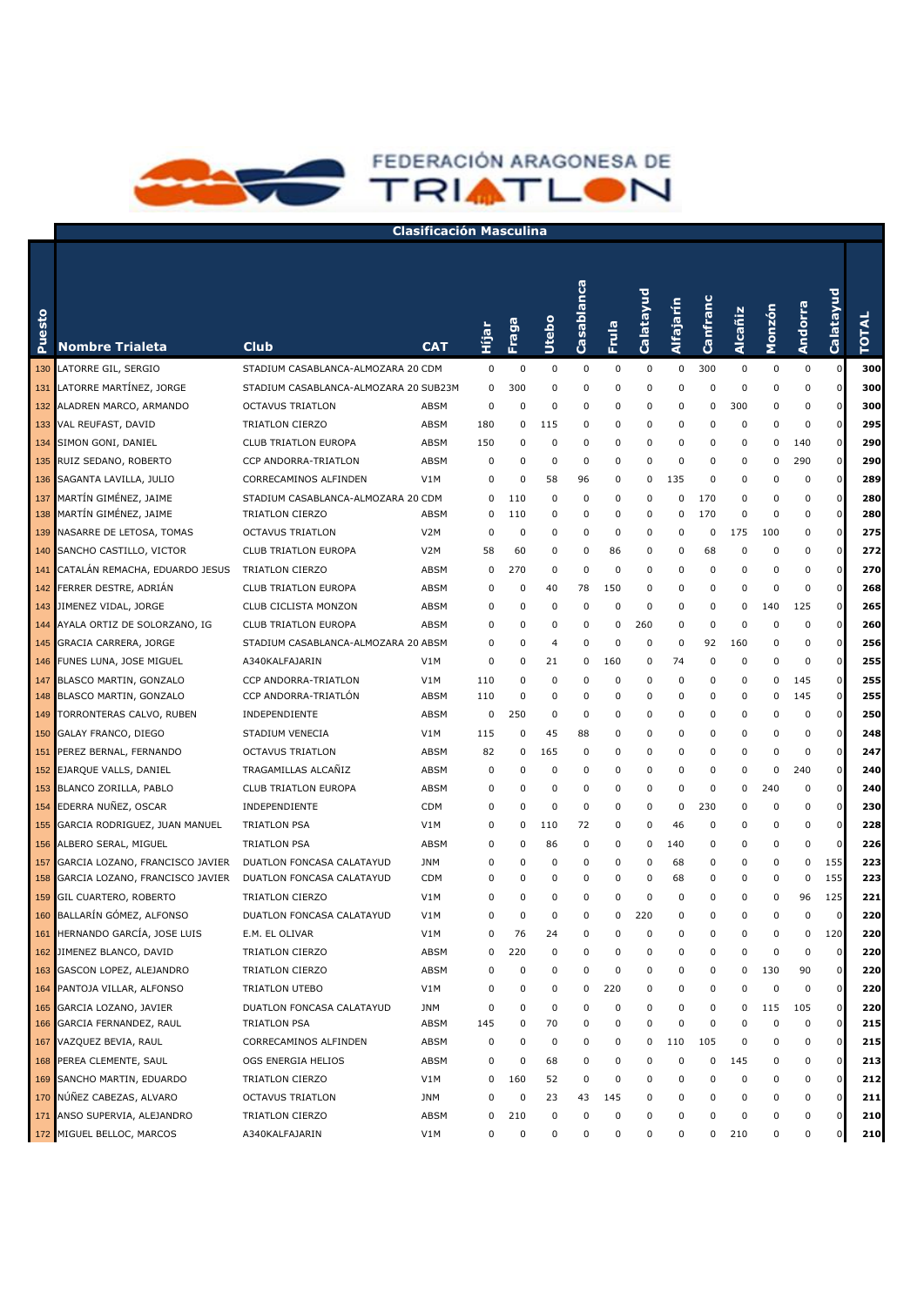

| esto<br>Ž | <b>Nombre Trialeta</b>                                  | <b>Club</b>                                           | <b>CAT</b>         | ie<br>EiH | Fraga      | Utebo       | Casablanca  | Frula       | Calatayud   | Alfajarín | Canfranc   | Alcañiz   | Monzón           | Andorra   | Calatayud                  | <b>TOTAL</b> |
|-----------|---------------------------------------------------------|-------------------------------------------------------|--------------------|-----------|------------|-------------|-------------|-------------|-------------|-----------|------------|-----------|------------------|-----------|----------------------------|--------------|
| 130       | LATORRE GIL, SERGIO                                     | STADIUM CASABLANCA-ALMOZARA 20 CDM                    |                    | 0         | 0          | 0           | 0           | 0           | 0           | 0         | 300        | $\pmb{0}$ | 0                | $\pmb{0}$ | $\mathbf 0$                | 300          |
| 131       | LATORRE MARTÍNEZ, JORGE                                 | STADIUM CASABLANCA-ALMOZARA 20 SUB23M                 |                    | 0         | 300        | 0           | 0           | 0           | 0           | 0         | 0          | 0         | $\mathbf 0$      | 0         | $\mathbf 0$                | 300          |
| 132       | ALADREN MARCO, ARMANDO                                  | <b>OCTAVUS TRIATLON</b>                               | ABSM               | 0         | $\Omega$   | 0           | 0           | 0           | 0           | 0         | 0          | 300       | 0                | 0         | $\mathbf 0$                | 300          |
| 133       | VAL REUFAST, DAVID                                      | TRIATLON CIERZO                                       | ABSM               | 180       | $\Omega$   | 115         | 0           | 0           | 0           | 0         | 0          | 0         | $\mathbf 0$      | $\Omega$  | $\mathbf 0$                | 295          |
| 134       | SIMON GONI, DANIEL                                      | CLUB TRIATLON EUROPA                                  | ABSM               | 150       | 0          | 0           | 0           | 0           | 0           | 0         | 0          | 0         | 0                | 140       | $\mathbf 0$                | 290          |
| 135       | RUIZ SEDANO, ROBERTO                                    | CCP ANDORRA-TRIATLON                                  | ABSM               | 0         | 0          | 0           | 0           | 0           | 0           | 0         | 0          | 0         | 0                | 290       | $\mathbf 0$                | 290          |
| 136       | SAGANTA LAVILLA, JULIO                                  | CORRECAMINOS ALFINDEN                                 | V1M                | 0         | 0          | 58          | 96          | 0           | 0           | 135       | 0          | 0         | $\mathbf 0$      | 0         | $\Omega$                   | 289          |
| 137       | MARTÍN GIMÉNEZ, JAIME<br>138 MARTÍN GIMÉNEZ, JAIME      | STADIUM CASABLANCA-ALMOZARA 20 CDM<br>TRIATLON CIERZO | ABSM               | 0<br>0    | 110<br>110 | 0<br>0      | 0<br>0      | 0<br>0      | 0<br>0      | 0<br>0    | 170<br>170 | 0<br>0    | 0<br>$\mathbf 0$ | 0<br>0    | $\mathbf 0$<br>$\mathbf 0$ | 280<br>280   |
|           | 139 NASARRE DE LETOSA, TOMAS                            | <b>OCTAVUS TRIATLON</b>                               | V <sub>2</sub> M   | 0         | 0          | 0           | 0           | 0           | 0           | 0         | 0          | 175       | 100              | 0         | $\mathbf 0$                | 275          |
|           | 140 SANCHO CASTILLO, VICTOR                             | CLUB TRIATLON EUROPA                                  | V <sub>2</sub> M   | 58        | 60         | 0           | $\mathbf 0$ | 86          | 0           | 0         | 68         | 0         | $\mathbf 0$      | 0         | $\mathbf 0$                | 272          |
|           | 141 CATALÁN REMACHA, EDUARDO JESUS                      | TRIATLON CIERZO                                       | ABSM               | 0         | 270        | 0           | $\mathbf 0$ | 0           | 0           | 0         | 0          | 0         | $\mathbf 0$      | $\Omega$  | $\mathbf 0$                | 270          |
|           | 142 FERRER DESTRE, ADRIAN                               | <b>CLUB TRIATLON EUROPA</b>                           | ABSM               | 0         | 0          | 40          | 78          | 150         | 0           | 0         | 0          | 0         | $\mathbf 0$      | $\Omega$  | $\mathbf 0$                | 268          |
|           | 143 JIMENEZ VIDAL, JORGE                                | CLUB CICLISTA MONZON                                  | ABSM               | 0         | $\Omega$   | 0           | $\mathbf 0$ | 0           | $\mathbf 0$ | 0         | 0          | 0         | 140              | 125       | $\mathbf 0$                | 265          |
|           | 144 AYALA ORTIZ DE SOLORZANO, IG                        | <b>CLUB TRIATLON EUROPA</b>                           | ABSM               | 0         | 0          | 0           | 0           | 0           | 260         | 0         | 0          | 0         | $\mathbf 0$      | $\Omega$  | $\mathbf 0$                | 260          |
|           | 145 GRACIA CARRERA, JORGE                               | STADIUM CASABLANCA-ALMOZARA 20 ABSM                   |                    | 0         | $\Omega$   | 4           | 0           | 0           | 0           | 0         | 92         | 160       | 0                | $\Omega$  | $\mathbf 0$                | 256          |
|           | 146 FUNES LUNA, JOSE MIGUEL                             | A340KALFAJARIN                                        | V1M                | 0         | 0          | 21          | 0           | 160         | 0           | 74        | 0          | 0         | 0                | $\Omega$  | $\mathbf 0$                | 255          |
|           | 147 BLASCO MARTIN, GONZALO                              | CCP ANDORRA-TRIATLON                                  | V1M                | 110       | $\Omega$   | 0           | 0           | 0           | 0           | 0         | 0          | 0         | 0                | 145       | $\mathbf 0$                | 255          |
|           | 148 BLASCO MARTIN, GONZALO                              | CCP ANDORRA-TRIATLÓN                                  | ABSM               | 110       | 0          | 0           | 0           | 0           | 0           | 0         | 0          | 0         | 0                | 145       | $\mathbf 0$                | 255          |
| 149       | TORRONTERAS CALVO, RUBEN                                | INDEPENDIENTE                                         | ABSM               | 0         | 250        | 0           | 0           | 0           | 0           | 0         | 0          | 0         | 0                | 0         | $\mathbf 0$                | 250          |
| 150       | GALAY FRANCO, DIEGO                                     | STADIUM VENECIA                                       | V1M                | 115       | 0          | 45          | 88          | 0           | 0           | 0         | 0          | 0         | 0                | 0         | $\mathbf 0$                | 248          |
| 151       | PEREZ BERNAL, FERNANDO                                  | <b>OCTAVUS TRIATLON</b>                               | ABSM               | 82        | 0          | 165         | 0           | 0           | 0           | 0         | 0          | 0         | 0                | 0         | 0                          | 247          |
| 152       | EJARQUE VALLS, DANIEL                                   | TRAGAMILLAS ALCAÑIZ                                   | ABSM               | 0         | 0          | $\mathbf 0$ | 0           | 0           | 0           | 0         | 0          | 0         | $\mathbf 0$      | 240       | $\mathbf 0$                | 240          |
| 153       | BLANCO ZORILLA, PABLO                                   | CLUB TRIATLON EUROPA                                  | ABSM               | 0         | 0          | $\mathbf 0$ | 0           | 0           | 0           | 0         | 0          | 0         | 240              | 0         | $\mathbf 0$                | 240          |
| 154       | EDERRA NUÑEZ, OSCAR                                     | INDEPENDIENTE                                         | <b>CDM</b>         | 0         | 0          | $\mathbf 0$ | $\mathbf 0$ | 0           | 0           | 0         | 230        | 0         | 0                | 0         | $\mathbf 0$                | 230          |
| 155       | GARCIA RODRIGUEZ, JUAN MANUEL                           | <b>TRIATLON PSA</b>                                   | V1M                | 0         | 0          | 110         | 72          | $\mathbf 0$ | 0           | 46        | 0          | 0         | 0                | 0         | $\mathbf 0$                | 228          |
| 156       | ALBERO SERAL, MIGUEL                                    | <b>TRIATLON PSA</b>                                   | ABSM               | 0         | 0          | 86          | 0           | 0           | 0           | 140       | 0          | 0         | 0                | 0         | $\Omega$                   | 226          |
| 157       | GARCIA LOZANO, FRANCISCO JAVIER                         | DUATLON FONCASA CALATAYUD                             | <b>JNM</b>         | 0         | 0          | 0           | 0           | 0           | 0           | 68        | 0          | 0         | 0                | 0         | 155                        | 223          |
| 158       | GARCIA LOZANO, FRANCISCO JAVIER                         | DUATLON FONCASA CALATAYUD                             | <b>CDM</b>         | 0         | 0          | 0           | 0           | 0           | 0           | 68        | 0          | 0         | $\mathbf 0$      | 0         | 155                        | 223          |
|           | 159 GIL CUARTERO, ROBERTO                               | TRIATLON CIERZO                                       | V1M                | 0         | 0          | 0           | 0           | 0           | 0           | 0         | 0          | 0         | 0                | 96        | 125                        | 221          |
|           | 160 BALLARÍN GÓMEZ, ALFONSO                             | DUATLON FONCASA CALATAYUD                             | V1M                | 0         | 0          | 0           | 0           | 0           | 220         | 0         | 0          | 0         | $\mathbf 0$      | $\Omega$  | $\mathbf 0$                | 220          |
|           | 161 HERNANDO GARCÍA, JOSE LUIS                          | E.M. EL OLIVAR                                        | V1M                | 0         | 76         | 24          | $\mathbf 0$ | 0           | 0           | 0         | 0          | 0         | $\mathbf 0$      | 0         | 120                        | 220          |
|           | 162 JIMENEZ BLANCO, DAVID                               | TRIATLON CIERZO                                       | ABSM               |           | 220        |             |             |             |             |           |            |           |                  |           |                            | 220          |
|           | 163 GASCON LOPEZ, ALEJANDRO                             | TRIATLON CIERZO                                       | ABSM               | 0         | 0          | 0           | 0           | 0           | 0           | 0         | 0          | 0         | 130              | 90        | $\mathbf 0$                | 220          |
|           | 164 PANTOJA VILLAR, ALFONSO                             | TRIATLON UTEBO                                        | V1M                | 0         | 0          | 0           | 0           | 220         | 0           | 0         | 0          | 0         | 0                | 0         | 0                          | 220          |
|           | 165 GARCIA LOZANO, JAVIER<br>166 GARCIA FERNANDEZ, RAUL | DUATLON FONCASA CALATAYUD<br>TRIATLON PSA             | <b>JNM</b><br>ABSM | 0<br>145  | 0<br>0     | 0<br>70     | 0<br>0      | 0<br>0      | 0<br>0      | 0<br>0    | 0<br>0     | 0<br>0    | 115<br>0         | 105<br>0  | 0<br>n                     | 220<br>215   |
|           | 167 VAZQUEZ BEVIA, RAUL                                 | CORRECAMINOS ALFINDEN                                 | ABSM               | 0         | 0          | 0           | 0           | 0           | 0           | 110       | 105        | 0         | 0                | 0         | 0                          | 215          |
|           | 168 PEREA CLEMENTE, SAUL                                | OGS ENERGIA HELIOS                                    | ABSM               | 0         | 0          | 68          | 0           | 0           | 0           | 0         | 0          | 145       | 0                | 0         | 0                          | 213          |
|           | 169 SANCHO MARTIN, EDUARDO                              | TRIATLON CIERZO                                       | V1M                | 0         | 160        | 52          | 0           | 0           | 0           | 0         | 0          | 0         | 0                | 0         | 0                          | 212          |
|           | 170 NÚÑEZ CABEZAS, ALVARO                               | <b>OCTAVUS TRIATLON</b>                               | JNM                | 0         | 0          | 23          | 43          | 145         | 0           | 0         | 0          | 0         | 0                | 0         | 0                          | 211          |
|           | 171 ANSO SUPERVIA, ALEJANDRO                            | TRIATLON CIERZO                                       | ABSM               | 0         | 210        | 0           | 0           | 0           | 0           | 0         | 0          | 0         | 0                | 0         | 0                          | 210          |
|           | 172 MIGUEL BELLOC, MARCOS                               | A340KALFAJARIN                                        | V1M                | 0         | 0          | 0           | 0           | 0           | 0           | 0         | 0          | 210       | 0                | 0         | 0                          | 210          |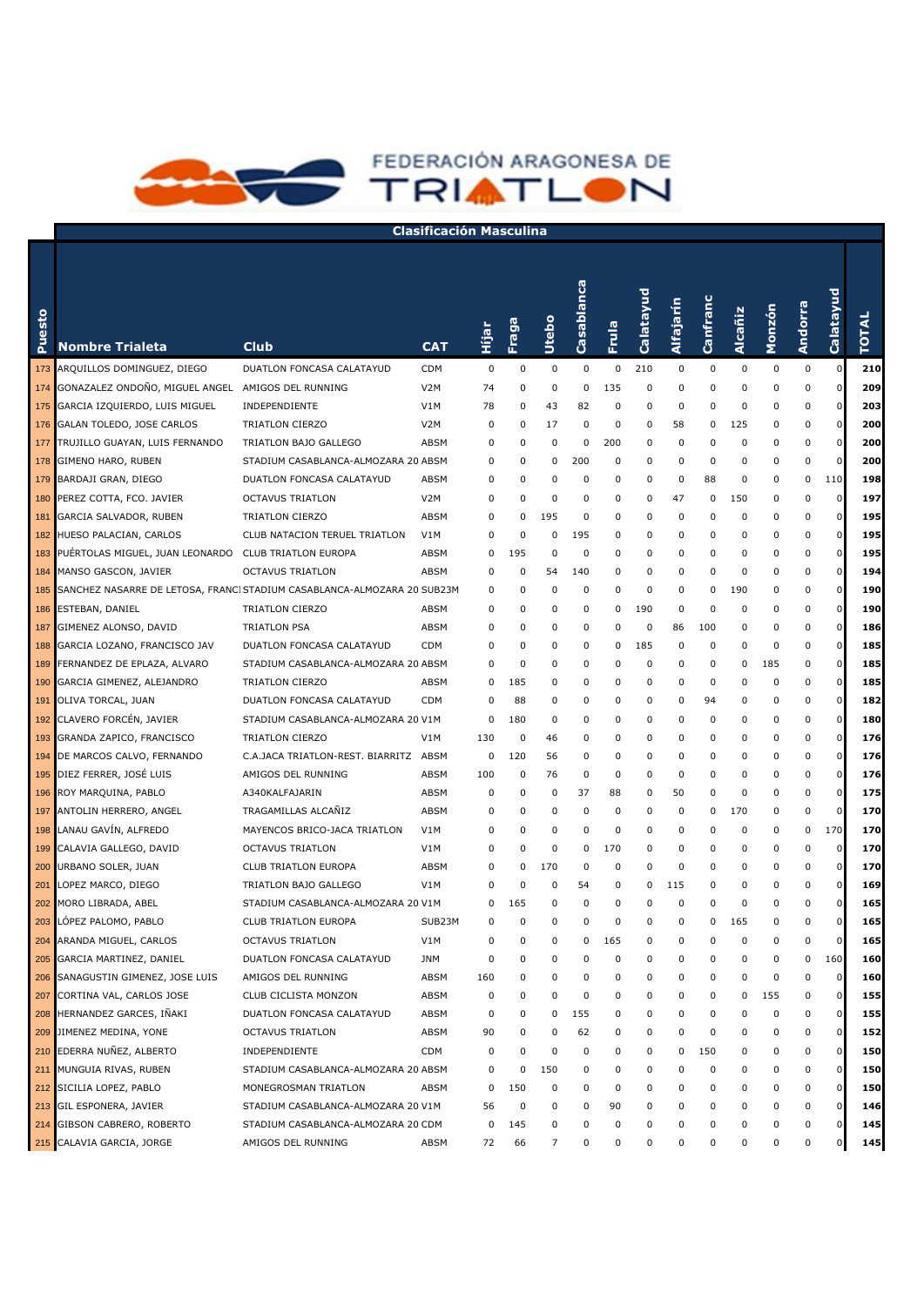

| esto<br>څ | <b>Nombre Trialeta</b>                                                      | <b>Club</b>                           | <b>CAT</b>       | Hijar | Fraga    | Utebo       | Casablanca  | Frula    | Calatayud | Alfajarín | Canfranc | Alcañiz | Monzón      | Andorra  | Calatayud   | <b>TOTAL</b> |
|-----------|-----------------------------------------------------------------------------|---------------------------------------|------------------|-------|----------|-------------|-------------|----------|-----------|-----------|----------|---------|-------------|----------|-------------|--------------|
|           | 173 ARQUILLOS DOMINGUEZ, DIEGO                                              | DUATLON FONCASA CALATAYUD             | <b>CDM</b>       | 0     | 0        | $\mathbf 0$ | 0           | 0        | 210       | 0         | 0        | 0       | 0           | 0        | $\mathbf 0$ | 210          |
|           | 174 GONAZALEZ ONDOÑO, MIGUEL ANGEL                                          | AMIGOS DEL RUNNING                    | V <sub>2</sub> M | 74    | $\Omega$ | $\mathbf 0$ | $\mathbf 0$ | 135      | 0         | 0         | 0        | 0       | $\mathbf 0$ | 0        | $\mathbf 0$ | 209          |
|           | 175 GARCIA IZQUIERDO, LUIS MIGUEL                                           | INDEPENDIENTE                         | V1M              | 78    | $\Omega$ | 43          | 82          | 0        | 0         | 0         | 0        | 0       | $\Omega$    | 0        | $\mathbf 0$ | 203          |
|           | 176 GALAN TOLEDO, JOSE CARLOS                                               | TRIATLON CIERZO                       | V <sub>2</sub> M | 0     | 0        | 17          | $\mathbf 0$ | 0        | 0         | 58        | 0        | 125     | $\Omega$    | 0        | $\mathbf 0$ | 200          |
|           | 177 TRUJILLO GUAYAN, LUIS FERNANDO                                          | TRIATLON BAJO GALLEGO                 | ABSM             | 0     | $\Omega$ | 0           | 0           | 200      | 0         | 0         | 0        | 0       | 0           | 0        | $\mathbf 0$ | 200          |
|           | 178 GIMENO HARO, RUBEN                                                      | STADIUM CASABLANCA-ALMOZARA 20 ABSM   |                  | 0     | $\Omega$ | 0           | 200         | 0        | 0         | 0         | 0        | 0       | $\mathbf 0$ | 0        | $\mathbf 0$ | 200          |
|           | 179 BARDAJI GRAN, DIEGO                                                     | DUATLON FONCASA CALATAYUD             | ABSM             | 0     | $\Omega$ | $\Omega$    | 0           | 0        | 0         | 0         | 88       | 0       | 0           | 0        | 110         | 198          |
| 180       | PEREZ COTTA, FCO. JAVIER                                                    | <b>OCTAVUS TRIATLON</b>               | V <sub>2</sub> M | 0     | $\Omega$ | $\Omega$    | 0           | 0        | 0         | 47        | 0        | 150     | 0           | $\Omega$ | $\mathbf 0$ | 197          |
| 181       | GARCIA SALVADOR, RUBEN                                                      | TRIATLON CIERZO                       | ABSM             | 0     | 0        | 195         | 0           | 0        | 0         | 0         | 0        | 0       | 0           | 0        | $\mathbf 0$ | 195          |
| 182       | HUESO PALACIAN, CARLOS                                                      | CLUB NATACION TERUEL TRIATLON         | V1M              | 0     | $\Omega$ | 0           | 195         | 0        | 0         | 0         | 0        | 0       | 0           | 0        | $\mathbf 0$ | 195          |
| 183       | PUERTOLAS MIGUEL, JUAN LEONARDO                                             | CLUB TRIATLON EUROPA                  | ABSM             | 0     | 195      | 0           | 0           | 0        | 0         | 0         | 0        | 0       | 0           | 0        | $\mathbf 0$ | 195          |
| 184       | MANSO GASCON, JAVIER                                                        | OCTAVUS TRIATLON                      | ABSM             | 0     | 0        | 54          | 140         | 0        | 0         | 0         | 0        | 0       | $\mathbf 0$ | 0        | $\mathbf 0$ | 194          |
|           | 185 SANCHEZ NASARRE DE LETOSA, FRANCI STADIUM CASABLANCA-ALMOZARA 20 SUB23M |                                       |                  | 0     | 0        | 0           | 0           | 0        | 0         | 0         | 0        | 190     | $\mathbf 0$ | 0        | $\mathbf 0$ | 190          |
| 186       | ESTEBAN, DANIEL                                                             | TRIATLON CIERZO                       | ABSM             | 0     | 0        | 0           | 0           | 0        | 190       | 0         | 0        | 0       | $\mathbf 0$ | 0        | $\mathbf 0$ | 190          |
| 187       | GIMENEZ ALONSO, DAVID                                                       | <b>TRIATLON PSA</b>                   | ABSM             | 0     | 0        | 0           | 0           | 0        | 0         | 86        | 100      | 0       | $\mathbf 0$ | 0        | $\mathbf 0$ | 186          |
| 188       | GARCIA LOZANO, FRANCISCO JAV                                                | DUATLON FONCASA CALATAYUD             | <b>CDM</b>       | 0     | 0        | 0           | 0           | 0        | 185       | 0         | 0        | 0       | $\mathbf 0$ | 0        | $\mathbf 0$ | 185          |
| 189       | FERNANDEZ DE EPLAZA, ALVARO                                                 | STADIUM CASABLANCA-ALMOZARA 20 ABSM   |                  | 0     | 0        | 0           | 0           | 0        | 0         | 0         | 0        | 0       | 185         | 0        | $\mathbf 0$ | 185          |
| 190       | GARCIA GIMENEZ, ALEJANDRO                                                   | TRIATLON CIERZO                       | ABSM             | 0     | 185      | 0           | 0           | 0        | 0         | 0         | 0        | 0       | $\mathbf 0$ | 0        | $\mathbf 0$ | 185          |
| 191       | OLIVA TORCAL, JUAN                                                          | DUATLON FONCASA CALATAYUD             | <b>CDM</b>       | 0     | 88       | 0           | 0           | 0        | 0         | 0         | 94       | 0       | 0           | 0        | $\mathbf 0$ | 182          |
| 192       | CLAVERO FORCÉN, JAVIER                                                      | STADIUM CASABLANCA-ALMOZARA 20 V1M    |                  | 0     | 180      | 0           | 0           | 0        | 0         | 0         | 0        | 0       | 0           | 0        | $\mathbf 0$ | 180          |
| 193       | GRANDA ZAPICO, FRANCISCO                                                    | TRIATLON CIERZO                       | V1M              | 130   | 0        | 46          | 0           | 0        | 0         | 0         | 0        | 0       | 0           | 0        | $\mathbf 0$ | 176          |
| 194       | DE MARCOS CALVO, FERNANDO                                                   | C.A.JACA TRIATLON-REST. BIARRITZ ABSM |                  | 0     | 120      | 56          | 0           | 0        | 0         | 0         | 0        | 0       | 0           | 0        | $\mathbf 0$ | 176          |
| 195       | DIEZ FERRER, JOSÉ LUIS                                                      | AMIGOS DEL RUNNING                    | ABSM             | 100   | 0        | 76          | 0           | 0        | 0         | 0         | 0        | 0       | 0           | 0        | $\mathbf 0$ | 176          |
| 196       | ROY MARQUINA, PABLO                                                         | A340KALFAJARIN                        | ABSM             | 0     | 0        | 0           | 37          | 88       | 0         | 50        | 0        | 0       | 0           | 0        | $\mathbf 0$ | 175          |
| 197       | ANTOLIN HERRERO, ANGEL                                                      | TRAGAMILLAS ALCAÑIZ                   | ABSM             | 0     | 0        | 0           | 0           | 0        | 0         | 0         | 0        | 170     | 0           | 0        | $\mathbf 0$ | 170          |
| 198       | LANAU GAVÍN, ALFREDO                                                        | MAYENCOS BRICO-JACA TRIATLON          | V1M              | 0     | 0        | $\mathbf 0$ | 0           | 0        | 0         | 0         | 0        | 0       | 0           | 0        | 170         | 170          |
| 199       | CALAVIA GALLEGO, DAVID                                                      | <b>OCTAVUS TRIATLON</b>               | V1M              | 0     | 0        | $\mathbf 0$ | 0           | 170      | 0         | 0         | 0        | 0       | 0           | 0        | 0           | 170          |
| 200       | URBANO SOLER, JUAN                                                          | CLUB TRIATLON EUROPA                  | ABSM             | 0     | 0        | 170         | 0           | 0        | 0         | 0         | 0        | 0       | 0           | 0        | $\mathbf 0$ | 170          |
| 201       | LOPEZ MARCO, DIEGO                                                          | TRIATLON BAJO GALLEGO                 | V1M              | 0     | $\Omega$ | 0           | 54          | 0        | 0         | 115       | 0        | 0       | 0           | 0        | $\mathbf 0$ | 169          |
| 202       | MORO LIBRADA, ABEL                                                          | STADIUM CASABLANCA-ALMOZARA 20 V1M    |                  | 0     | 165      | 0           | 0           | 0        | 0         | 0         | 0        | 0       | 0           | 0        | $\mathbf 0$ | 165          |
| 203       | LÓPEZ PALOMO, PABLO                                                         | CLUB TRIATLON EUROPA                  | SUB23M           | 0     | $\Omega$ | 0           | 0           | $\Omega$ | 0         | 0         | 0        | 165     | 0           | 0        | $\mathbf 0$ | 165          |
| 204       | ARANDA MIGUEL, CARLOS                                                       | <b>OCTAVUS TRIATLON</b>               | V1M              | 0     | $\Omega$ | 0           | 0           | 165      | 0         | 0         | 0        | 0       | 0           | $\Omega$ |             | 165          |
|           | 205 GARCIA MARTINEZ, DANIEL                                                 | DUATLON FONCASA CALATAYUD             | JNM              | 0     | 0        | 0           | 0           | 0        | 0         | 0         | 0        | 0       | 0           | 0        | 160         | 160          |
| 206       | SANAGUSTIN GIMENEZ, JOSE LUIS                                               | AMIGOS DEL RUNNING                    | ABSM             | 160   | 0        | 0           | 0           | 0        | 0         | 0         | 0        | 0       | 0           | 0        | $\mathbf 0$ | 160          |
| 207       | CORTINA VAL, CARLOS JOSE                                                    | CLUB CICLISTA MONZON                  | ABSM             | 0     | 0        | 0           | 0           | 0        | 0         | 0         | 0        | 0       | 155         | 0        | $\mathbf 0$ | 155          |
| 208       | HERNANDEZ GARCES, IÑAKI                                                     | DUATLON FONCASA CALATAYUD             | ABSM             | 0     | 0        | 0           | 155         | 0        | 0         | 0         | 0        | 0       | 0           | 0        | $\mathbf 0$ | 155          |
|           | 209 JIMENEZ MEDINA, YONE                                                    | <b>OCTAVUS TRIATLON</b>               | ABSM             | 90    | 0        | 0           | 62          | 0        | 0         | 0         | 0        | 0       | 0           | 0        | $\mathbf 0$ | 152          |
|           | 210 EDERRA NUÑEZ, ALBERTO                                                   | INDEPENDIENTE                         | <b>CDM</b>       | 0     | 0        | $\Omega$    | 0           | 0        | 0         | 0         | 150      | 0       | 0           | 0        | 0           | 150          |
| 211       | MUNGUIA RIVAS, RUBEN                                                        | STADIUM CASABLANCA-ALMOZARA 20 ABSM   |                  | 0     | 0        | 150         | 0           | 0        | 0         | 0         | 0        | 0       | 0           | 0        | 0           | 150          |
|           | 212 SICILIA LOPEZ, PABLO                                                    | MONEGROSMAN TRIATLON                  | ABSM             | 0     | 150      | 0           | 0           | 0        | 0         | 0         | 0        | 0       | 0           | 0        | 0           | 150          |
|           | 213 GIL ESPONERA, JAVIER                                                    | STADIUM CASABLANCA-ALMOZARA 20 V1M    |                  | 56    | 0        | 0           | 0           | 90       | 0         | 0         | 0        | 0       | 0           | 0        | 0           | 146          |
|           | 214 GIBSON CABRERO, ROBERTO                                                 | STADIUM CASABLANCA-ALMOZARA 20 CDM    |                  | 0     | 145      | 0           | 0           | 0        | 0         | 0         | 0        | 0       | 0           | 0        | 0           | 145          |
|           | 215 CALAVIA GARCIA, JORGE                                                   | AMIGOS DEL RUNNING                    | ABSM             | 72    | 66       | 7           | 0           | 0        | 0         | 0         | 0        | 0       | 0           | 0        | 0           | 145          |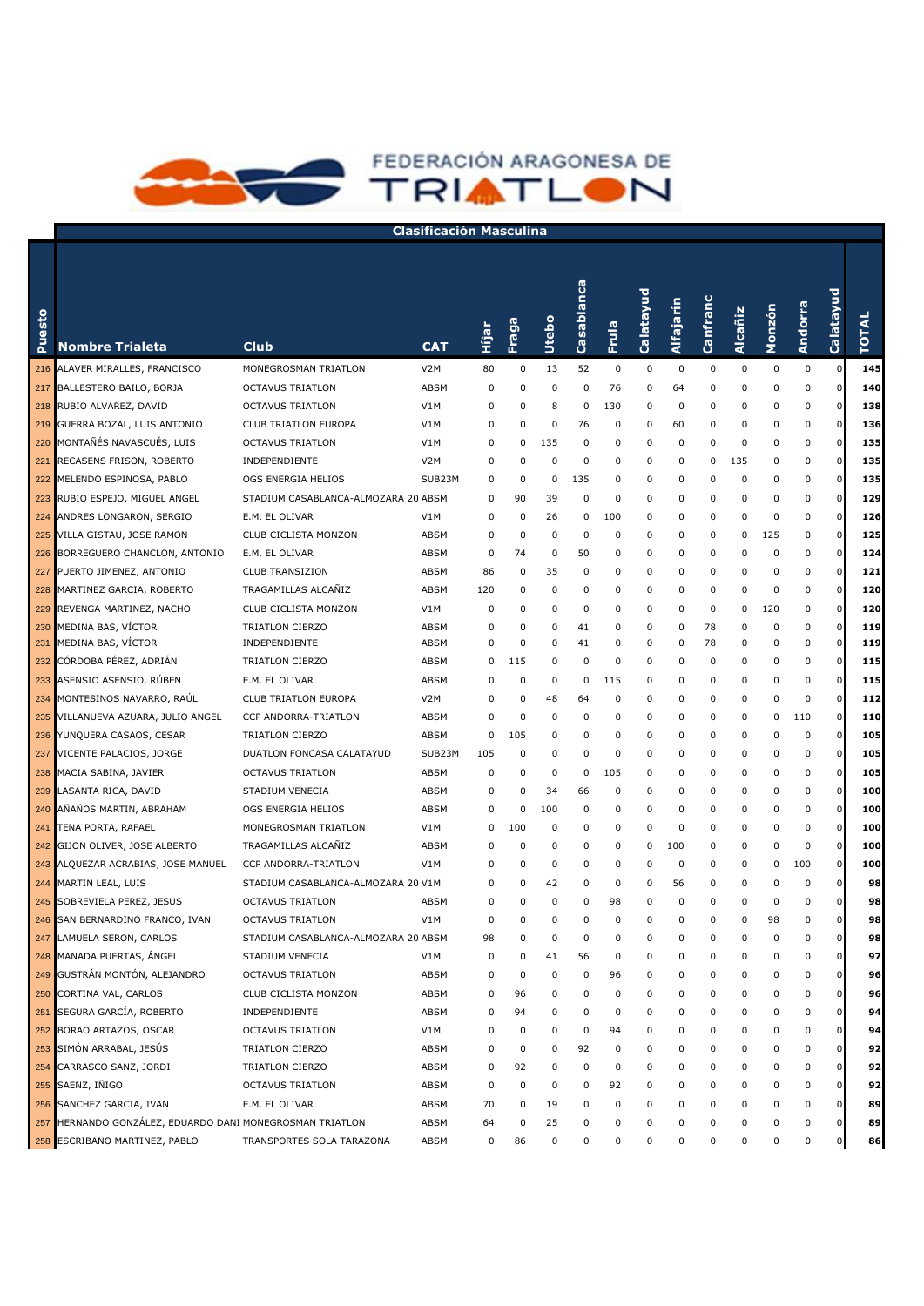

| Puesto | <b>Nombre Trialeta</b>                               | <b>Club</b>                         | <b>CAT</b>       | н<br>11<br>П | Fraga    | <b>Utebo</b> | Casablanca  | Frula       | Calatayud   | Alfajarín | Canfranc    | Alcañiz     | Monzón | Andorra   | Calatayud      | <b>TOTAL</b> |
|--------|------------------------------------------------------|-------------------------------------|------------------|--------------|----------|--------------|-------------|-------------|-------------|-----------|-------------|-------------|--------|-----------|----------------|--------------|
| 216    | ALAVER MIRALLES, FRANCISCO                           | MONEGROSMAN TRIATLON                | V2M              | 80           | 0        | 13           | 52          | $\mathbf 0$ | $\mathbf 0$ | 0         | $\mathbf 0$ | $\mathbf 0$ | 0      | $\pmb{0}$ | 0              | 145          |
| 217    | BALLESTERO BAILO, BORJA                              | <b>OCTAVUS TRIATLON</b>             | ABSM             | 0            | 0        | 0            | 0           | 76          | 0           | 64        | 0           | 0           | 0      | 0         | 0              | 140          |
| 218    | RUBIO ALVAREZ, DAVID                                 | <b>OCTAVUS TRIATLON</b>             | V1M              | 0            | 0        | 8            | 0           | 130         | 0           | 0         | 0           | 0           | 0      | 0         | 0              | 138          |
| 219    | GUERRA BOZAL, LUIS ANTONIO                           | CLUB TRIATLON EUROPA                | V1M              | 0            | 0        | 0            | 76          | 0           | 0           | 60        | 0           | 0           | 0      | 0         | 0              | 136          |
| 220    | MONTAÑÉS NAVASCUÉS, LUIS                             | <b>OCTAVUS TRIATLON</b>             | V1M              | 0            | 0        | 135          | 0           | 0           | 0           | 0         | 0           | 0           | 0      | $\Omega$  | 0              | 135          |
| 221    | RECASENS FRISON, ROBERTO                             | INDEPENDIENTE                       | V <sub>2</sub> M | 0            | $\Omega$ | 0            | 0           | 0           | 0           | 0         | 0           | 135         | 0      | $\Omega$  | 0              | 135          |
| 222    | MELENDO ESPINOSA, PABLO                              | OGS ENERGIA HELIOS                  | SUB23M           | 0            | 0        | 0            | 135         | $\mathbf 0$ | 0           | 0         | 0           | 0           | 0      | $\Omega$  | 0              | 135          |
| 223    | RUBIO ESPEJO, MIGUEL ANGEL                           | STADIUM CASABLANCA-ALMOZARA 20 ABSM |                  | 0            | 90       | 39           | 0           | $\mathbf 0$ | 0           | 0         | 0           | 0           | 0      | $\Omega$  | 0              | 129          |
| 224    | ANDRES LONGARON, SERGIO                              | E.M. EL OLIVAR                      | V1M              | 0            | 0        | 26           | 0           | 100         | 0           | 0         | 0           | 0           | 0      | 0         | 0              | 126          |
| 225    | VILLA GISTAU, JOSE RAMON                             | CLUB CICLISTA MONZON                | ABSM             | 0            | 0        | 0            | 0           | 0           | 0           | 0         | 0           | 0           | 125    | 0         | 0              | 125          |
| 226    | BORREGUERO CHANCLON, ANTONIO                         | E.M. EL OLIVAR                      | ABSM             | 0            | 74       | 0            | 50          | 0           | 0           | 0         | 0           | 0           | 0      | 0         | 0              | 124          |
| 227    | PUERTO JIMENEZ, ANTONIO                              | <b>CLUB TRANSIZION</b>              | ABSM             | 86           | 0        | 35           | 0           | 0           | 0           | 0         | 0           | 0           | 0      | 0         | 0              | 121          |
| 228    | MARTINEZ GARCIA, ROBERTO                             | TRAGAMILLAS ALCANIZ                 | ABSM             | 120          | 0        | 0            | 0           | 0           | 0           | 0         | 0           | 0           | 0      | 0         | 0              | 120          |
| 229    | REVENGA MARTINEZ, NACHO                              | CLUB CICLISTA MONZON                | V1M              | 0            | 0        | 0            | 0           | 0           | 0           | 0         | 0           | 0           | 120    | 0         | 0              | 120          |
| 230    | MEDINA BAS, VÍCTOR                                   | TRIATLON CIERZO                     | ABSM             | 0            | 0        | 0            | 41          | 0           | 0           | 0         | 78          | 0           | 0      | 0         | 0              | 119          |
| 231    | MEDINA BAS, VÍCTOR                                   | INDEPENDIENTE                       | ABSM             | 0            | 0        | 0            | 41          | 0           | 0           | 0         | 78          | 0           | 0      | 0         | 0              | 119          |
| 232    | CÓRDOBA PÉREZ, ADRIÁN                                | TRIATLON CIERZO                     | ABSM             | 0            | 115      | 0            | 0           | 0           | 0           | 0         | 0           | 0           | 0      | 0         | 0              | 115          |
| 233    | ASENSIO ASENSIO, RÚBEN                               | E.M. EL OLIVAR                      | ABSM             | 0            | 0        | 0            | 0           | 115         | 0           | 0         | 0           | 0           | 0      | 0         | 0              | 115          |
| 234    | MONTESINOS NAVARRO, RAUL                             | <b>CLUB TRIATLON EUROPA</b>         | V <sub>2</sub> M | 0            | 0        | 48           | 64          | 0           | 0           | 0         | 0           | 0           | 0      | 0         | $\mathbf 0$    | 112          |
| 235    | VILLANUEVA AZUARA, JULIO ANGEL                       | CCP ANDORRA-TRIATLON                | ABSM             | 0            | 0        | 0            | 0           | 0           | 0           | 0         | 0           | 0           | 0      | 110       | 0              | 110          |
| 236    | YUNQUERA CASAOS, CESAR                               | TRIATLON CIERZO                     | ABSM             | 0            | 105      | 0            | 0           | 0           | 0           | 0         | 0           | 0           | 0      | 0         | 0              | 105          |
| 237    | VICENTE PALACIOS, JORGE                              | DUATLON FONCASA CALATAYUD           | SUB23M           | 105          | 0        | 0            | 0           | 0           | 0           | 0         | 0           | 0           | 0      | 0         | 0              | 105          |
| 238    | MACIA SABINA, JAVIER                                 | <b>OCTAVUS TRIATLON</b>             | ABSM             | 0            | 0        | 0            | 0           | 105         | 0           | 0         | 0           | 0           | 0      | 0         | 0              | 105          |
| 239    | LASANTA RICA, DAVID                                  | STADIUM VENECIA                     | ABSM             | 0            | 0        | 34           | 66          | 0           | 0           | 0         | 0           | 0           | 0      | 0         | 0              | 100          |
| 240    | AÑAÑOS MARTIN, ABRAHAM                               | OGS ENERGIA HELIOS                  | ABSM             | 0            | 0        | 100          | 0           | 0           | 0           | 0         | 0           | 0           | 0      | 0         | 0              | 100          |
| 241    | TENA PORTA, RAFAEL                                   | MONEGROSMAN TRIATLON                | V1M              | 0            | 100      | 0            | 0           | 0           | 0           | 0         | 0           | 0           | 0      | $\pmb{0}$ | 0              | 100          |
| 242    | GIJON OLIVER, JOSE ALBERTO                           | TRAGAMILLAS ALCANIZ                 | ABSM             | 0            | 0        | 0            | 0           | 0           | 0           | 100       | 0           | 0           | 0      | $\pmb{0}$ | 0              | 100          |
| 243    | ALQUEZAR ACRABIAS, JOSE MANUEL                       | CCP ANDORRA-TRIATLON                | V1M              | 0            | 0        | 0            | 0           | 0           | 0           | 0         | 0           | 0           | 0      | 100       | 0              | 100          |
| 244    | MARTIN LEAL, LUIS                                    | STADIUM CASABLANCA-ALMOZARA 20 V1M  |                  | 0            | 0        | 42           | $\mathbf 0$ | 0           | 0           | 56        | 0           | 0           | 0      | 0         | 0              | 98           |
| 245    | SOBREVIELA PEREZ, JESUS                              | <b>OCTAVUS TRIATLON</b>             | ABSM             | 0            | 0        | 0            | 0           | 98          | 0           | 0         | 0           | 0           | 0      | 0         | 0              | 98           |
| 246    | SAN BERNARDINO FRANCO, IVAN                          | <b>OCTAVUS TRIATLON</b>             | V1M              | 0            | 0        | 0            | $\mathbf 0$ | 0           | 0           | 0         | 0           | 0           | 98     | 0         | 0              | 98           |
| 247    | LAMUELA SERON, CARLOS                                | STADIUM CASABLANCA-ALMOZARA 20 ABSM |                  | 98           | 0        | 0            | $\Omega$    | $\Omega$    | 0           | 0         | 0           | 0           | 0      | $\Omega$  | <sup>0</sup>   | 98           |
| 248    | MANADA PUERTAS, ANGEL                                | STADIUM VENECIA                     | V1M              | 0            | 0        | 41           | 56          | 0           | 0           | 0         | 0           | 0           | 0      | 0         | $\overline{0}$ | 97           |
| 249    | GUSTRÁN MONTÓN, ALEJANDRO                            | <b>OCTAVUS TRIATLON</b>             | ABSM             | 0            | 0        | 0            | 0           | 96          | 0           | 0         | 0           | 0           | 0      | 0         | 0              | 96           |
| 250    | CORTINA VAL, CARLOS                                  | CLUB CICLISTA MONZON                | ABSM             | 0            | 96       | 0            | 0           | 0           | 0           | 0         | 0           | 0           | 0      | 0         | 0              | 96           |
| 251    | SEGURA GARCÍA, ROBERTO                               | INDEPENDIENTE                       | ABSM             | 0            | 94       | 0            | 0           | 0           | 0           | 0         | 0           | 0           | 0      | 0         | 0              | 94           |
| 252    | BORAO ARTAZOS, OSCAR                                 | <b>OCTAVUS TRIATLON</b>             | V1M              | 0            | 0        | 0            | 0           | 94          | 0           | 0         | 0           | 0           | 0      | 0         | 0              | 94           |
| 253    | SIMÓN ARRABAL, JESÚS                                 | TRIATLON CIERZO                     | ABSM             | 0            | 0        | 0            | 92          | 0           | 0           | 0         | 0           | 0           | 0      | 0         | 0              | 92           |
| 254    | CARRASCO SANZ, JORDI                                 | TRIATLON CIERZO                     | ABSM             | 0            | 92       | 0            | $\mathbf 0$ | 0           | 0           | 0         | 0           | 0           | 0      | 0         | 0              | 92           |
| 255    | SAENZ, IÑIGO                                         | <b>OCTAVUS TRIATLON</b>             | ABSM             | 0            | 0        | 0            | 0           | 92          | 0           | 0         | 0           | 0           | 0      | 0         | 0              | 92           |
| 256    | SANCHEZ GARCIA, IVAN                                 | E.M. EL OLIVAR                      | ABSM             | 70           | 0        | 19           | 0           | 0           | 0           | 0         | 0           | 0           | 0      | 0         | 0              | 89           |
| 257    | HERNANDO GONZÁLEZ, EDUARDO DANI MONEGROSMAN TRIATLON |                                     | ABSM             | 64           | 0        | 25           | 0           | 0           | 0           | 0         | 0           | 0           | 0      | 0         | 0              | 89           |
| 258    | ESCRIBANO MARTINEZ, PABLO                            | TRANSPORTES SOLA TARAZONA           | ABSM             | 0            | 86       | 0            | 0           | 0           | 0           | 0         | 0           | 0           | 0      | 0         | 0              | 86           |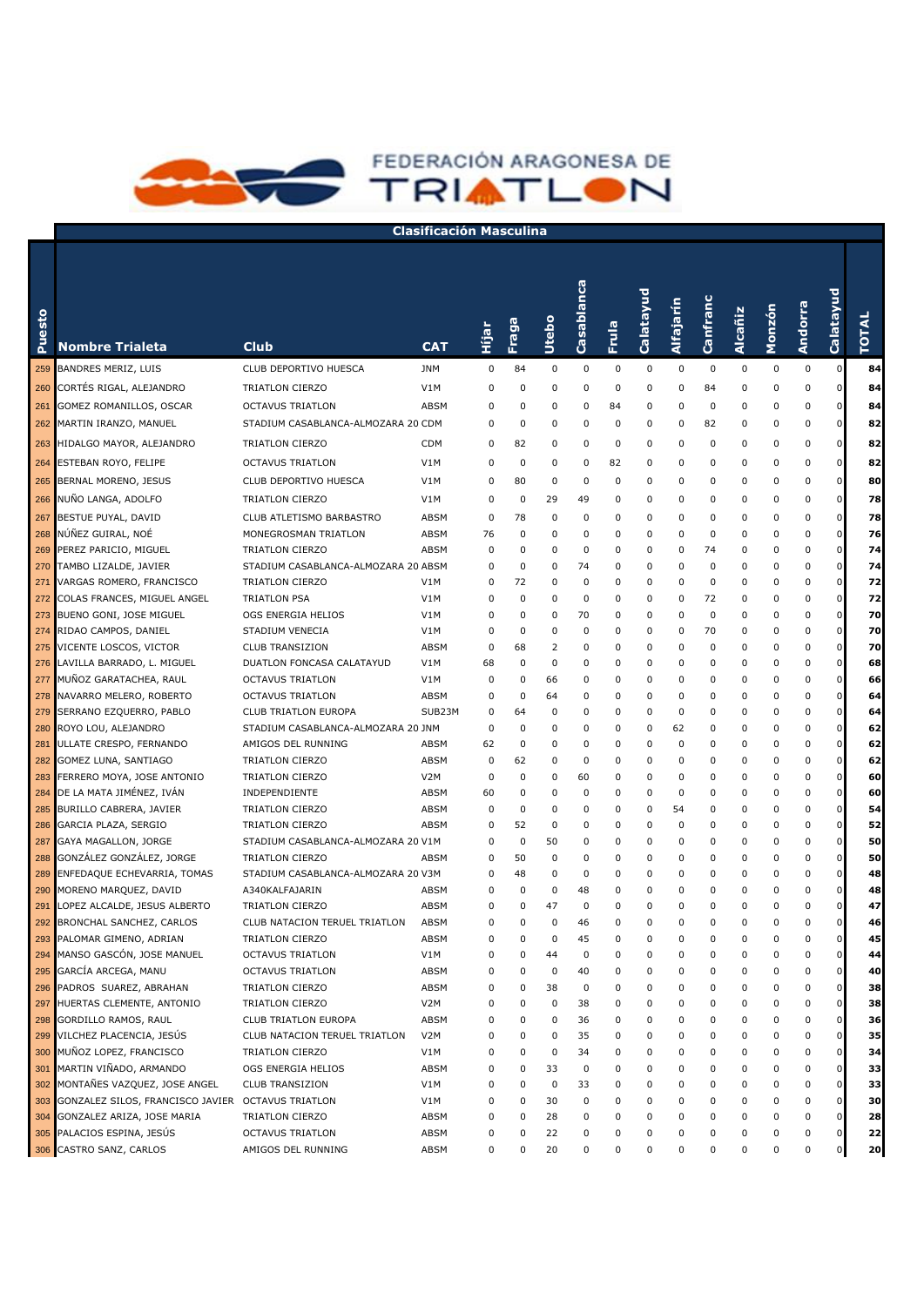

| esto<br>Ž  | <b>Nombre Trialeta</b>                                | <b>Club</b>                                           | <b>CAT</b>       | Hijar  | Fraga    | <b>Utebo</b> | Casablanca | Frula            | Calatayud   | Alfajarín | Canfranc    | Alcañiz | Monzón      | Andorra   | Calatayud   | <b>TOTAL</b> |
|------------|-------------------------------------------------------|-------------------------------------------------------|------------------|--------|----------|--------------|------------|------------------|-------------|-----------|-------------|---------|-------------|-----------|-------------|--------------|
| 259        | BANDRES MERIZ, LUIS                                   | CLUB DEPORTIVO HUESCA                                 | <b>JNM</b>       | 0      | 84       | 0            | 0          | 0                | 0           | 0         | $\mathbf 0$ | 0       | 0           | $\pmb{0}$ | $\mathbf 0$ | 84           |
| 260        | CORTÉS RIGAL, ALEJANDRO                               | TRIATLON CIERZO                                       | V1M              | 0      | 0        | 0            | 0          | 0                | 0           | 0         | 84          | 0       | 0           | 0         | 0           | 84           |
| 261        | GOMEZ ROMANILLOS, OSCAR                               | <b>OCTAVUS TRIATLON</b>                               | ABSM             | 0      | $\Omega$ | 0            | 0          | 84               | 0           | 0         | $\mathbf 0$ | 0       | 0           | 0         | 0           | 84           |
| 262        | MARTIN IRANZO, MANUEL                                 | STADIUM CASABLANCA-ALMOZARA 20 CDM                    |                  | 0      | 0        | 0            | $\Omega$   | $\mathbf 0$      | 0           | 0         | 82          | 0       | 0           | 0         | 0           | 82           |
|            |                                                       |                                                       | <b>CDM</b>       | 0      | 82       | 0            | 0          | 0                | 0           | 0         | $\mathbf 0$ | 0       | 0           | 0         | $\mathbf 0$ | 82           |
| 263        | HIDALGO MAYOR, ALEJANDRO                              | TRIATLON CIERZO                                       |                  |        |          |              |            |                  |             |           |             |         |             |           |             |              |
| 264        | ESTEBAN ROYO, FELIPE                                  | <b>OCTAVUS TRIATLON</b>                               | V1M              | 0      | 0        | 0            | 0          | 82               | 0           | 0         | $\mathbf 0$ | 0       | 0           | 0         | $\mathbf 0$ | 82           |
| 265        | <b>BERNAL MORENO, JESUS</b>                           | CLUB DEPORTIVO HUESCA                                 | V1M              | 0      | 80       | 0            | 0          | $\mathbf 0$      | 0           | 0         | $\mathbf 0$ | 0       | 0           | 0         | $\mathbf 0$ | 80           |
| 266        | NUÑO LANGA, ADOLFO                                    | TRIATLON CIERZO                                       | V1M              | 0      | 0        | 29           | 49         | 0                | $\mathbf 0$ | 0         | $\mathbf 0$ | 0       | 0           | 0         | $\mathbf 0$ | 78           |
|            | 267 BESTUE PUYAL, DAVID                               | CLUB ATLETISMO BARBASTRO                              | ABSM             | 0      | 78       | $\mathbf 0$  | 0          | 0                | $\mathbf 0$ | 0         | $\mathbf 0$ | 0       | 0           | 0         | $\mathbf 0$ | 78           |
|            | 268 NÚÑEZ GUIRAL, NOÉ                                 | MONEGROSMAN TRIATLON                                  | ABSM             | 76     | 0        | $\Omega$     | 0          | $\mathbf 0$      | 0           | 0         | $\mathbf 0$ | 0       | 0           | 0         | 0           | 76           |
|            | 269 PEREZ PARICIO, MIGUEL                             | TRIATLON CIERZO                                       | ABSM             | 0      | 0        | 0            | 0          | 0                | 0           | 0         | 74          | 0       | 0           | 0         | 0           | 74           |
| 270        | TAMBO LIZALDE, JAVIER                                 | STADIUM CASABLANCA-ALMOZARA 20 ABSM                   |                  | 0      | 0        | 0            | 74         | 0                | 0           | 0         | $\mathbf 0$ | 0       | 0           | 0         | 0           | 74           |
|            | 271 VARGAS ROMERO, FRANCISCO                          | TRIATLON CIERZO                                       | V1M              | 0      | 72       | 0            | 0          | 0                | 0           | 0         | 0           | 0       | 0           | 0         | 0           | 72           |
|            | 272 COLAS FRANCES, MIGUEL ANGEL                       | <b>TRIATLON PSA</b>                                   | V1M              | 0      | 0        | 0            | 0          | $\mathbf 0$      | 0           | 0         | 72          | 0       | 0           | 0         | 0           | 72           |
|            | 273 BUENO GONI, JOSE MIGUEL                           | OGS ENERGIA HELIOS                                    | V1M              | 0      | 0        | 0            | 70         | 0                | 0           | 0         | 0           | 0       | 0           | 0         | 0           | 70           |
| 274        | RIDAO CAMPOS, DANIEL                                  | STADIUM VENECIA                                       | V1M              | 0      | 0        | 0            | 0          | $\mathbf 0$      | 0           | 0         | 70          | 0       | 0           | 0         | 0           | 70           |
|            | 275 VICENTE LOSCOS, VICTOR                            | <b>CLUB TRANSIZION</b>                                | ABSM             | 0      | 68       | 2            | 0          | 0                | 0           | 0         | 0           | 0       | 0           | 0         | 0           | 70           |
|            | 276 LAVILLA BARRADO, L. MIGUEL                        | DUATLON FONCASA CALATAYUD                             | V1M              | 68     | 0        | 0            | 0          | 0                | 0           | 0         | 0           | 0       | 0           | 0         | 0           | 68           |
| 277        | MUNOZ GARATACHEA, RAUL                                | OCTAVUS TRIATLON                                      | V1M              | 0      | 0        | 66           | 0          | 0                | 0           | 0         | 0           | 0       | 0           | 0         | 0           | 66           |
| 278        | NAVARRO MELERO, ROBERTO                               | <b>OCTAVUS TRIATLON</b>                               | ABSM             | 0      | 0        | 64           | 0          | 0                | 0           | 0         | 0           | 0       | 0           | 0         | 0           | 64           |
|            | 279 SERRANO EZQUERRO, PABLO                           | CLUB TRIATLON EUROPA                                  | SUB23M           | 0      | 64       | 0            | 0          | 0                | 0           | 0         | 0           | 0       | 0           | 0         | 0           | 64           |
|            | 280 ROYO LOU, ALEJANDRO                               | STADIUM CASABLANCA-ALMOZARA 20 JNM                    |                  | 0      | 0        | 0            | 0          | 0                | 0           | 62        | 0           | 0       | 0           | 0         | 0           | 62           |
| 281        | ULLATE CRESPO, FERNANDO                               | AMIGOS DEL RUNNING                                    | ABSM             | 62     | 0        | 0            | 0          | $\mathbf 0$      | 0           | 0         | 0           | 0       | 0           | 0         | 0           | 62           |
| 282        | GOMEZ LUNA, SANTIAGO                                  | TRIATLON CIERZO                                       | ABSM             | 0      | 62       | 0            | 0          | 0                | 0           | 0         | 0           | 0       | 0           | 0         | 0           | 62           |
|            | 283 FERRERO MOYA, JOSE ANTONIO                        | TRIATLON CIERZO                                       | V <sub>2</sub> M | 0      | 0        | 0            | 60         | 0                | 0           | 0         | 0           | 0       | 0           | 0         | 0           | 60           |
|            | 284 DE LA MATA JIMÉNEZ, IVÁN                          | INDEPENDIENTE                                         | ABSM             | 60     | 0        | 0            | 0          | 0                | 0           | 0         | 0           | 0       | 0           | 0         | 0           | 60           |
| 285        | BURILLO CABRERA, JAVIER                               | TRIATLON CIERZO                                       | ABSM             | 0      | 0        | 0            | 0          | $\mathbf 0$      | 0           | 54        | 0           | 0       | 0           | 0         | 0           | 54           |
| 286        | GARCIA PLAZA, SERGIO                                  | TRIATLON CIERZO                                       | ABSM             | 0      | 52       | 0            | 0          | 0                | 0           | 0         | 0           | 0       | 0           | 0         | 0           | 52           |
| 287        | GAYA MAGALLON, JORGE<br>GONZÁLEZ GONZÁLEZ, JORGE      | STADIUM CASABLANCA-ALMOZARA 20 V1M                    |                  | 0      | 0<br>50  | 50           | 0          | 0                | $\mathbf 0$ | 0         | 0           | 0       | 0<br>0      | 0         | 0<br>0      | 50           |
| 288        |                                                       | TRIATLON CIERZO<br>STADIUM CASABLANCA-ALMOZARA 20 V3M | ABSM             | 0<br>0 | 48       | 0<br>0       | 0<br>0     | 0<br>$\mathbf 0$ | 0<br>0      | 0<br>0    | 0<br>0      | 0<br>0  | 0           | 0<br>0    | 0           | 50           |
| 289<br>290 | ENFEDAQUE ECHEVARRIA, TOMAS<br>MORENO MARQUEZ, DAVID  | A340KALFAJARIN                                        | ABSM             | 0      | 0        | 0            | 48         | 0                | 0           | 0         | $\mathbf 0$ | 0       | 0           | 0         | 0           | 48<br>48     |
|            | 291 LOPEZ ALCALDE, JESUS ALBERTO                      | TRIATLON CIERZO                                       | ABSM             | 0      | 0        | 47           | 0          | $\mathbf 0$      | 0           | 0         | 0           | 0       | 0           | 0         | 0           | 47           |
| 292        | BRONCHAL SANCHEZ, CARLOS                              | CLUB NATACION TERUEL TRIATLON                         | ABSM             | 0      | 0        | 0            | 46         | 0                | 0           | 0         | 0           | 0       | 0           | 0         | 0           | 46           |
| 293        | PALOMAR GIMENO, ADRIAN                                | TRIATLON CIERZO                                       | ABSM             | 0      | $\Omega$ | $\Omega$     | 45         | $\mathbf 0$      | $\mathbf 0$ | 0         | $\Omega$    | 0       | 0           | 0         | ŋ           | 45           |
|            | 294 MANSO GASCON, JOSE MANUEL                         | OCTAVUS TRIATLON                                      | V1M              | 0      | 0        | 44           | 0          | 0                | 0           | 0         | 0           | 0       | $\Omega$    | 0         | 0           | 44           |
|            | 295 GARCÍA ARCEGA, MANU                               | <b>OCTAVUS TRIATLON</b>                               | ABSM             | 0      | 0        | 0            | 40         | 0                | 0           | 0         | 0           | 0       | 0           | 0         | 0           | 40           |
|            | 296 PADROS SUAREZ, ABRAHAN                            | TRIATLON CIERZO                                       | <b>ABSM</b>      | 0      | 0        | 38           | 0          | 0                | 0           | 0         | 0           | 0       | 0           | 0         | 0           | 38           |
| 297        | HUERTAS CLEMENTE, ANTONIO                             | TRIATLON CIERZO                                       | V <sub>2</sub> M | 0      | 0        | 0            | 38         | 0                | 0           | 0         | 0           | 0       | 0           | 0         | 0           | 38           |
|            | 298 GORDILLO RAMOS, RAUL                              | CLUB TRIATLON EUROPA                                  | <b>ABSM</b>      | 0      | 0        | 0            | 36         | 0                | 0           | 0         | 0           | 0       | 0           | 0         | 0           | 36           |
|            | 299 VILCHEZ PLACENCIA, JESÚS                          | CLUB NATACION TERUEL TRIATLON                         | V <sub>2</sub> M | 0      | 0        | 0            | 35         | 0                | 0           | 0         | 0           | 0       | 0           | 0         | 0           | 35           |
|            | 300 MUÑOZ LOPEZ, FRANCISCO                            | TRIATLON CIERZO                                       | V1M              | 0      | 0        | 0            | 34         | 0                | 0           | 0         | 0           | 0       | 0           | 0         |             | 34           |
|            | 301 MARTIN VIÑADO, ARMANDO                            | OGS ENERGIA HELIOS                                    | <b>ABSM</b>      | 0      | 0        | 33           | 0          | 0                | 0           | 0         | 0           | 0       | 0           | 0         | 0           | 33           |
|            | 302 MONTAÑES VAZQUEZ, JOSE ANGEL                      | <b>CLUB TRANSIZION</b>                                | V1M              | 0      | 0        | 0            | 33         | 0                | 0           | 0         | 0           | 0       | 0           | 0         | 0           | 33           |
|            | 303 GONZALEZ SILOS, FRANCISCO JAVIER OCTAVUS TRIATLON |                                                       | V1M              | 0      | 0        | 30           | 0          | 0                | 0           | 0         | 0           | 0       | 0           | 0         | 0           | 30           |
|            | 304 GONZALEZ ARIZA, JOSE MARIA                        | TRIATLON CIERZO                                       | ABSM             | 0      | 0        | 28           | 0          | 0                | 0           | 0         | 0           | 0       | 0           | 0         | 0           | 28           |
|            | 305 PALACIOS ESPINA, JESÚS                            | <b>OCTAVUS TRIATLON</b>                               | ABSM             | 0      | 0        | 22           | 0          | 0                | 0           | 0         | 0           | 0       | 0           | 0         | 0           | 22           |
|            | 306 CASTRO SANZ, CARLOS                               | AMIGOS DEL RUNNING                                    | ABSM             | 0      | 0        | 20           | 0          | 0                | 0           | 0         | 0           | 0       | $\mathbf 0$ | 0         | $\circ$     | 20           |